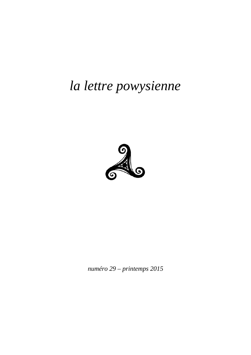# *la lettre powysienne*



*numéro 29 – printemps 2015*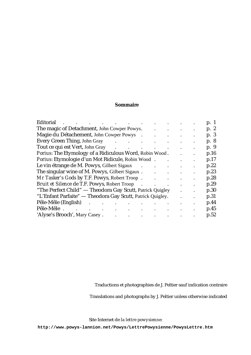## **Sommaire**

| Editorial<br>$\sim 100$<br>$\ddot{\phantom{a}}$                                                                               |                      |           | p. 1 |
|-------------------------------------------------------------------------------------------------------------------------------|----------------------|-----------|------|
| The magic of Detachment, John Cowper Powys.                                                                                   |                      |           | p. 2 |
| Magie du Détachement, John Cowper Powys                                                                                       | $\bullet$            | $\bullet$ | p. 3 |
| Every Green Thing, John Gray<br><b>Contract Contract Contract</b>                                                             |                      |           | p. 8 |
| Tout ce qui est Vert, John Gray<br>$\mathcal{L}(\mathcal{A})$ . The contribution of the contribution of $\mathcal{A}$         |                      |           | p. 9 |
| Porius: The Etymology of a Ridiculous Word, Robin Wood.                                                                       |                      | $\bullet$ | p.16 |
| Porius: Etymologie d'un Mot Ridicule, Robin Wood.                                                                             |                      |           | p.17 |
| Le vin étrange de M. Powys, Gilbert Sigaux                                                                                    |                      |           | p.22 |
| The singular wine of M. Powys, Gilbert Sigaux.                                                                                | $\bullet$            | $\bullet$ | p.23 |
| Mr Tasker's Gods by T.F. Powys, Robert Troop.                                                                                 | $\ddot{\phantom{0}}$ |           | p.28 |
| Bruit et Silence de T.F. Powys, Robert Troop                                                                                  |                      |           | p.29 |
| "The Perfect Child" — Theodora Gay Scutt, Patrick Quigley                                                                     |                      | $\bullet$ | p.30 |
| "L'Enfant Parfaite" — Theodora Gay Scutt, Patrick Quigley.                                                                    |                      |           | p.31 |
| Pêle-Mêle (English)                                                                                                           |                      |           | p.44 |
| Pêle-Mêle.<br>$\mathbf{r}$ and $\mathbf{r}$ and $\mathbf{r}$<br>$\bullet$<br>$\bullet$<br>$\bullet$<br>$\bullet$<br>$\bullet$ | $\bullet$            | $\bullet$ | p.45 |
| 'Alyse's Brooch', Mary Casey.<br>and the contract of the contract of<br>$\mathbf{r}$ , and $\mathbf{r}$ , and $\mathbf{r}$    | $\bullet$            |           | p.52 |

Traductions et photographies de J. Peltier sauf indication contraire

Translations and photographs by J. Peltier unless otherwise indicated

Site Internet de *la lettre powysienne*:

**<http://www.powys-lannion.net/Powys/LettrePowysienne/PowysLettre.htm>**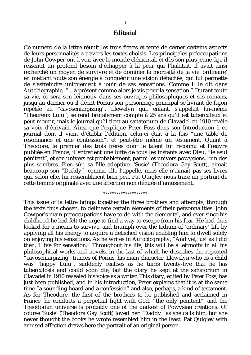## **Editorial**

Ce numéro de *la lettre* réunit les trois frères et tente de cerner certains aspects de leurs personnalités à travers les textes choisis. Les principales préoccupations de John Cowper ont à voir avec le monde élémental, et dès son plus jeune âge il ressentit un profond besoin d'échapper à la peur qui l'habitait. Il avait ainsi recherché un moyen de survivre et de dominer la morosité de la vie 'ordinaire' en mettant toute son énergie à conquérir une vision détachée, qui lui permette de s'astreindre uniquement à jouir de ses sensations. Comme il le dit dans *Autobiographie,* "... à présent comme alors je vis pour la sensation." Durant toute sa vie, ce sera son leitmotiv dans ses ouvrages philosophiques et ses romans, jusqu'au dernier où il décrit Porius son personnage principal se livrant de façon répétée au "cavoseniargizing". Llewelyn qui, enfant, s'appelait lui-même "l'heureux Lulu", se rend brutalement compte à 25 ans qu'il est tuberculeux et peut mourir, mais le journal qu'il tient au sanatorium de Clavadel en 1910 révèle sa voix d'écrivain. Ainsi que l'explique Peter Foss dans son Introduction à ce journal dont il vient d'établir l'édition, celui-ci était à la fois "une table de résonnance et une confession", et peut-être même un testament. Quant à Theodore, le premier des trois frères dont le talent fut reconnu et l'œuvre publiée en France, il entretient une lutte de tous les instants avec Dieu, "le seul pénitent", et son univers est probablement, parmi les univers powysiens, l'un des plus sombres. Bien sûr, sa fille adoptive, 'Susie' (Theodora Gay Scutt), aimait beaucoup son "Daddy", comme elle l'appelle, mais elle n'aimait pas ses livres qui, selon elle, lui ressemblaient bien peu. Pat Quigley nous trace un portrait de cette femme originale avec une affection non dénuée d'amusement.

#### *°°°°°°°°°°°°°°°°°°°°*

This issue of *la lettre* brings together the three brothers and attempts, through the texts thus chosen, to delineate certain elements of their personnalities. John Cowper's main preoccupations have to do with the elemental, and ever since his childhood he had felt the urge to find a way to escape from his fear. He had thus looked for a means to survive, and triumph over the tedium of 'ordinary' life by applying all his energy to acquire a detached vision enabling him to dwell solely on enjoying his sensations. As he writes in *Autobiography*, "And yet, just as I did then, I live for sensation." Throughout his life, this will be a leitmotiv in all his philosophical works and novels, in the last of which he describes the repeated "cavoseniargizing" trances of Porius, his main character. Llewelyn who as a child was "happy Lulu", suddenly realises as he turns twenty-five that he has tuberculosis and could soon die, but the diary he kept at the sanatorium in Clavadel in 1910 revealed his voice as a writer. This diary, edited by Peter Foss, has just been published, and in his Introduction, Peter explains that it is at the same time "a sounding-board and a confession" and also, perhaps, a kind of testament. As for Theodore, the first of the brothers to be published and acclaimed in France, he conducts a perpetual fight with God, "the only penitent", and the Theodorian universe is probably one of the darkest of Powysian creations. Of course 'Susie' (Theodora Gay Scutt) loved her "Daddy" as she calls him, but she never thought the books he wrote resembled him in the least. Pat Quigley with amused affection draws here the portrait of an original person.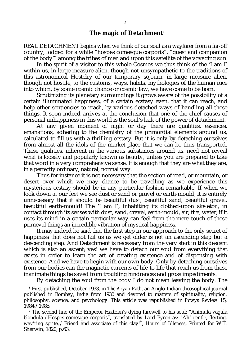$-2-$ 

REAL DETACHMENT begins when we think of our soul as a wayfarer from a far-off country, lodged for a while "hospes comesque corporis", "guest and companion of the body"<sup>,</sup> among the tribes of men and upon this satellite of the voyaging sun.

In the spirit of a visitor to this whole Cosmos we thus think of the 'I am I' within us, in large measure alien, though not unsympathetic to the traditions of this astronomical Hostelry of our temporary sojourn, in large measure alien, though not hostile, to the customs, ways, habits, mythologies of the human race into which, by some cosmic chance or cosmic law, we have come to be born.

Scrutinizing its planetary surroundings it grows aware of the possibility of a certain illuminated happiness, of a certain ecstasy even, that it can reach, and help other sentiencies to reach, by various detached ways of handling all these things. It soon indeed arrives at the conclusion that one of the chief causes of personal unhappiness in this world is the soul's lack of the power of detachment.

At any given moment of night or day there are qualities, essences, emanations, adhering to the chemistry of the primordial elements around us, calculated to fill us with a thrilling ecstasy. But it is only by detaching ourselves from almost all the idols of the market-place that we can be thus transported. These qualities, inherent in the various substances around us, need not reveal what is loosely and popularly known as *beauty*, unless you are prepared to take that word in a very comprehensive sense. It is enough that they are what they are, in a perfectly ordinary, natural, normal way.

Thus for instance it is not necessary that the section of road, or mountain, or desert over which we may chance to be travelling as we experience this mysterious ecstasy should be in any particular fashion remarkable. If when we look down at our feet we see dust or sand or gravel or earth-mould, it is entirely unnecessary that it should be beautiful dust, beautiful sand, beautiful gravel, beautiful earth-mould! The 'I am I', inhabiting its clothed-upon skeleton, in contact through its senses with dust, sand, gravel, earth-mould, air, fire, water, if it uses its mind in a certain particular way can feel from the mere touch of these primeval things an incredible vibration of mystical happiness.

It may indeed be said that the first step in our approach to the only secret of happiness that does not fail us as we get older is not an ascending step but a descending step. And Detachment is necessary from the very start in this descent which is also an ascent; yes! we have to detach our soul from everything that exists in order to learn the art of creating existence and of dispensing with existence. And we have to begin with our own body. Only by detaching ourselves from our bodies can the magnetic currents of life-to-life that reach us from these inanimate things be saved from troubling hindrances and gross impediments.

By detaching the soul from the body I do not mean leaving the body. The

<sup>1</sup> First published, October 1933, in *The Aryan Path*, an Anglo-Indian theosophical journal published in Bombay, India from 1930 and devoted to matters of spirituality, religion, philosophy, science, and psychology. This article was republished in *Powys Review* 15, 1984 /1985.

<sup>2</sup> The second line of the Emperor Hadrian's dying farewell to his soul: "Animula vagula blandula /Hospes comesque corporis", translated by Lord Byron as: "Ah! gentle, fleeting, wav'ring sprite, / Friend and associate of this clay!", *Hours of Idleness*, Printed for W.T. Sherwin, 1820, p.63.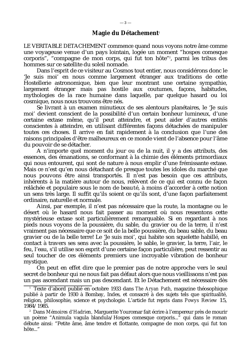LE VERITABLE DETACHEMENT commence quand nous voyons notre âme comme une voyageuse venue d'un pays lointain, logée un moment "hospes comesque corporis", "compagne de mon corps, qui fut ton hôte" 2 , parmi les tribus des hommes sur ce satellite du soleil nomade.

Dans l'esprit de ce visiteur au Cosmos tout entier, nous considérons donc le 'Je suis moi' en nous comme largement étranger aux traditions de cette Hostellerie astronomique, bien que leur montrant une certaine sympathie, largement étranger mais pas hostile aux coutumes, façons, habitudes, mythologies de la race humaine dans laquelle, par quelque hasard ou loi cosmique, nous nous trouvons être nés.

Se livrant à un examen minutieux de ses alentours planétaires, le 'Je suis moi' devient conscient de la possibilité d'un certain bonheur lumineux, d'une certaine extase même, qu'il peut atteindre, et peut aider d'autres entités conscientes à atteindre, en utilisant différentes façons détachées de manipuler toutes ces choses. Il arrive en fait rapidement à la conclusion que l'une des raisons principales d'être malheureux en ce monde vient de l'absence pour l'âme du pouvoir de se détacher.

A n'importe quel moment du jour ou de la nuit, il y a des attributs, des essences, des émanations, se conformant à la chimie des éléments primordiaux qui nous entourent, qui sont de nature à nous emplir d'une frémissante extase. Mais ce n'est qu'en nous détachant de presque toutes les idoles du marché que nous pouvons être ainsi transportés. Il n'est pas besoin que ces attributs, inhérents à la matière autour de nous, relèvent de ce qui est connu de façon relâchée et populaire sous le nom de *beauté*, à moins d'accorder à cette notion un sens très large. Il suffit qu'ils soient ce qu'ils sont, d'une façon parfaitement ordinaire, naturelle et normale.

Ainsi, par exemple, il n'est pas nécessaire que la route, la montagne ou le désert où le hasard nous fait passer au moment où nous ressentons cette mystérieuse extase soit particulièrement remarquable. Si en regardant à nos pieds nous voyons de la poussière, du sable, du gravier ou de la terre, il n'est vraiment pas nécessaire que ce soit de la belle poussière, du beau sable, du beau gravier ou de la belle terre! Le 'Je suis moi', qui habite son squelette habillé, en contact à travers ses sens avec la poussière, le sable, le gravier, la terre, l'air, le feu, l'eau, s'il utilise son esprit d'une certaine façon particulière, peut ressentir au seul toucher de ces éléments premiers une incroyable vibration de bonheur mystique.

On peut en effet dire que le premier pas de notre approche vers le seul secret de bonheur qui ne nous fait pas défaut alors que nous vieillissons n'est pas un pas ascendant mais un pas descendant. Et le Détachement est nécessaire dès

<sup>1</sup> Texte d'abord publié en octobre 1933 dans *The Aryan Path*, magazine théosophique publié à partir de 1930 à Bombay, Indes, et consacré à des sujets tels que spiritualité, religion, philosophie, science et psychologie. L'article fut repris dans *Powys Review* 15, 1984/1985.

<sup>2</sup> Dans *Mémoires d'Hadrien,* Marguerite Yourcenar fait écrire à l'empereur près de mourir un poème "Animula vagula blandula/Hospes comesque corporis..." qui dans le roman débute ainsi: "Petite âme, âme tendre et flottante, compagne de mon corps, qui fut ton hôte..."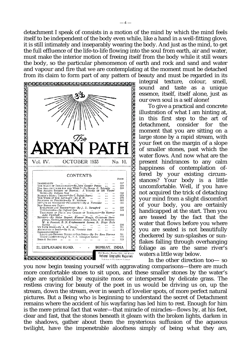detachment I speak of consists in a motion of the mind by which the mind feels itself to be independent of the body even while, like a hand in a well-fitting glove, it is still intimately and inseparably wearing the body. And just as the mind, to get the full effluence of the life-to-life flowing into the soul from earth, air and water, must make the interior motion of freeing itself from the body while it still wears the body, so the particular phenomenon of earth and rock and sand and water from its claim to form part of any pattern of beauty and must be regarded in its



integral texture, colour, smell, sound and taste as a unique essence, itself, itself alone, just as our own soul is a self alone!

 To give a practical and concrete illustration of what I am hinting at, in this first step to the art of detachment, consider for the moment that you are sitting on a large stone by a rapid stream, with your feet on the margin of a slope of smaller stones, past which the water flows. And now what are the present hindrances to any calm happiness of contemplation offered by your existing circumstances? Your body is a little uncomfortable. Well, if you have not acquired the trick of detaching your mind from a slight discomfort of your body, you are certainly handicapped at the start. Then you are teased by the fact that the water that flows before you where you are seated is not beautifully checkered by sun-splashes or sunflakes falling through overhanging foliage as are the same river's waters a little way below.

 In the other direction too— so you now begin teasing yourself with aggravating comparisons—there are much more comfortable stones to sit upon, and these smaller stones by the water's edge are sprinkled by exquisite moss or interspersed by delicate grass. The restless craving for beauty of the poet in us would be driving us on, up the stream, down the stream, ever in search of lovelier spots, of more perfect natural pictures. But a Being who is beginning to understand the secret of Detachment remains where the accident of his wayfaring has led him to rest. Enough for him is the mere primal fact that water—that miracle of miracles—flows by, at his feet, clear and fast, that the stones beneath it gleam with the broken lights, darken in the shadows, gather about them the mysterious suffusion of the aqueous twilight, have the impenetrable aloofness simply of being what they are,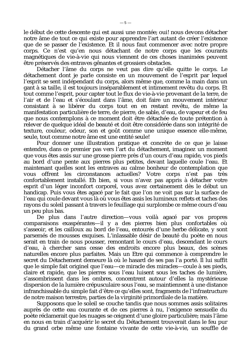le début de cette descente qui est aussi une montée; oui! nous devons détacher notre âme de tout ce qui existe pour apprendre l'art autant de créer l'existence que de se passer de l'existence. Et il nous faut commencer avec notre propre corps. Ce n'est qu'en nous détachant de notre corps que les courants magnétiques de vie-à-vie qui nous viennent de ces choses inanimées peuvent être préservés des entraves gênantes et grossiers obstacles.

Détacher l'âme du corps ne veut pas dire qu'elle quitte le corps. Le détachement dont je parle consiste en un mouvement de l'esprit par lequel l'esprit se sent indépendant du corps, alors même que, comme la main dans un gant à sa taille, il est toujours inséparablement et intimement revêtu du corps. Et tout comme l'esprit, pour capter tout le flux de vie-à-vie provenant de la terre, de l'air et de l'eau et s'écoulant dans l'âme, doit faire un mouvement intérieur consistant à se libérer du corps tout en en restant revêtu, de même la manifestation particulière de terre, de pierre, de sable, d'eau, de vapeur et de feu que nous contemplons à ce moment doit être détachée de toute prétention à relever de quelque idéal de beauté et doit être considérée dans son intégrité de texture, couleur, odeur, son et goût comme une unique essence elle-même, seule, tout comme notre âme est une entité seule!

Pour donner une illustration pratique et concrète de ce que je laisse entendre, dans ce premier pas vers l'art du détachement, imaginez un moment que vous êtes assis sur une grosse pierre près d'un cours d'eau rapide, vos pieds au bord d'une pente aux pierres plus petites, devant laquelle coule l'eau. Et maintenant quelles sont les entraves au calme bonheur de contemplation que vous offrent les circonstances actuelles? Votre corps n'est pas très confortablement installé. Eh bien, si vous n'avez pas appris à détacher votre esprit d'un léger inconfort corporel, vous avez certainement dès le début un handicap. Puis vous êtes agacé par le fait que l'on ne voit pas sur la surface de l'eau qui coule devant vous là où vous êtes assis les lumineux reflets et taches des rayons du soleil passant à travers le feuillage qui surplombe ce même cours d'eau un peu plus bas.

De plus dans l'autre direction—vous voilà agacé par vos propres comparaisons exaspérantes—il y a des pierres bien plus confortables où s'asseoir, et les cailloux au bord de l'eau, entourés d'une herbe délicate, y sont parsemés de mousses exquises. L'inlassable désir de beauté du poète en nous serait en train de nous pousser, remontant le cours d'eau, descendant le cours d'eau, à chercher sans cesse des endroits encore plus beaux, des scènes naturelles encore plus parfaites. Mais un Etre qui commence à comprendre le secret du Détachement demeure là où le hasard de ses pas l'a porté. Il lui suffit que le simple fait originel que l'eau—ce miracle des miracles—coule à ses pieds, claire et rapide, que les pierres sous l'eau luisent sous les taches de lumière, s'assombrissent dans les ombres, concentrent autour d'elles la mystérieuse dispersion de la lumière crépusculaire sous l'eau, se maintiennent à une distance infranchissable du simple fait d'être ce qu'elles sont, fragments de l'infrastructure de notre maison terrestre, parties de la virginité primordiale de la matière.

Supposons que le soleil se couche tandis que nous sommes assis solitaires auprès de cette eau courante et de ces pierres à nu, l'exigence sensuelle du poète réclamerait que les nuages se ceignent d'une gloire particulière; mais l'âme en nous en train d'acquérir le secret du Détachement trouverait dans le feu pur du grand orbe même une fontaine vivante de cette vie-à-vie, un souffle de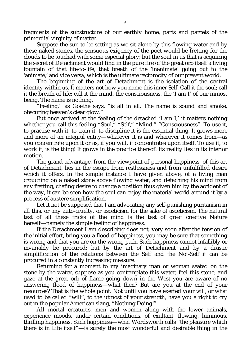fragments of the substructure of our earthly home, parts and parcels of the primordial virginity of matter.

Suppose the sun to be setting as we sit alone by this flowing water and by these naked stones, the sensuous exigency of the poet would be fretting for the clouds to be touched with some especial glory; but the soul in us that is acquiring the secret of Detachment would find in the pure fire of the great orb itself a living fountain of that life-to-life, that breath of the 'inanimate' going out to the 'animate,' and *vice versa*, which is the ultimate reciprocity of our present world.

The beginning of the art of Detachment is the isolation of the central identity within us. It matters not how you name this inner Self. Call it the soul; call it the breath of life; call it the mind, the consciousness, the 'I am I' of our inmost being. The name is nothing.

"Feeling," as Goethe says, "is all in all. The name is sound and smoke, obscuring heaven's clear glow."

But once arrived at the feeling of the detached 'I am I,' it matters nothing whether you call this feeling "Soul," "Self," "Mind," "Consciousness". To use it, to practise with it, to train it, to discipline it is the essential thing. It grows more and more of an integral entity—whatever it is and wherever it comes from—as you concentrate upon it or as, if you will, it concentrates upon itself. To use it, to work it, is the thing! It grows in the practice thereof. Its reality lies in its interior motion.

The grand advantage, from the viewpoint of personal happiness, of this art of Detachment, lies in the escape from restlessness and from unfulfilled desire which it offers. In the simple instance I have given above, of a living man crouching on a naked stone above flowing water, and detaching his mind from any fretting, chafing desire to change a position thus given him by the accident of the way, it can be seen how the soul can enjoy the material world around it by a process of austere simplification.

Let it not be supposed that I am advocating any self-punishing puritanism in all this, or any auto-cruelty, or asceticism for the sake of asceticism. The natural test of all these tricks of the mind is the test of great creative Nature herself—namely the simple feeling of happiness.

If the Detachment I am describing does not, very soon after the tension of the initial effort, bring you a flood of happiness, you may be sure that something is wrong and that you are on the wrong path. Such happiness cannot infallibly or invariably be procured; but by the art of Detachment and by a drastic simplification of the relations between the Self and the Not-Self it can be procured in a constantly increasing measure.

Returning for a moment to my imaginary man or woman seated on the stone by the water, suppose as you contemplate this water, feel this stone, and gaze at the great orb of flame going down in the West you are aware of no answering flood of happiness—what then? But are you at the end of your resources? That is the whole point. Not until you have exerted your *will*, or what used to be called "will", to the utmost of your strength, have you a right to cry out in the popular American slang, "Nothing Doing!"

All mortal creatures, men and women along with the lower animals, experience moods, under certain conditions, of exultant, flowing, luminous, thrilling happiness. Such happiness—what Wordsworth calls "the pleasure which there is in Life itself"—is surely the most wonderful and desirable thing in the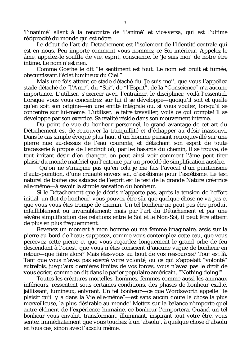'l'inanimé' allant à la rencontre de 'l'animé' et *vice-versa*, qui est l'ultime réciprocité du monde qui est nôtre.

Le début de l'art du Détachement est l'isolement de l'identité centrale qui est en nous. Peu importe comment vous nommez ce Soi intérieur. Appelez-le âme, appelez-le souffle de vie, esprit, conscience, le 'Je suis moi' de notre être intime. Le nom n'est rien.

Comme Goethe le dit "le sentiment est tout. Le nom est bruit et fumée, obscurcissant l'éclat lumineux du Ciel."

Mais une fois atteint ce stade détaché du 'Je suis moi', que vous l'appeliez stade détaché de "l'Ame", du "Soi", de "l'Esprit", de la "Conscience" n'a aucune importance. L'utiliser, s'exercer avec, l'entraîner, le discipliner, voilà l'essentiel. Lorsque vous vous concentrez sur lui il se développe—quoiqu'il soit et quelle qu'en soit son origine—en une entité intégrale ou, si vous voulez, lorsqu'il se concentre sur lui-même. L'utiliser, le faire travailler, voilà ce qui compte! Il se développe par son exercice. Sa réalité réside dans son mouvement interne.

Du point de vue du bonheur personnel, le grand avantage de cet art du Détachement est de retrouver la tranquillité et d'échapper au désir inassouvi. Dans le cas simple évoqué plus haut d'un homme pensant recroquevillé sur une pierre nue au-dessus de l'eau courante, et détachant son esprit de toute tracasserie à propos de l'endroit où, par les hasards du chemin, il se trouve, de tout irritant désir d'en changer, on peut ainsi voir comment l'âme peut tirer plaisir du monde matériel qui l'entoure par un procédé de simplification austère.

 Qu'on ne s'imagine pas qu'en cela je me fais l'avocat d'un puritanisme d'auto-punition, d'une cruauté envers soi, d'ascétisme pour l'ascétisme. Le test naturel de toutes ces astuces de l'esprit est le test de la grande Nature créatrice elle-même—à savoir la simple sensation du bonheur.

Si le Détachement que je décris n'apporte pas, après la tension de l'effort initial, un flot de bonheur, vous pouvez être sûr que quelque chose ne va pas et que vous vous êtes trompé de chemin. Un tel bonheur ne peut pas être produit infailliblement ou invariablement; mais par l'art du Détachement et par une sévère simplification des relations entre le Soi et le Non-Soi, il peut être atteint de plus en plus fréquemment.

Revenez un moment à mon homme ou ma femme imaginaire, assis sur la pierre au bord de l'eau: supposez, comme vous contemplez cette eau, que vous percevez cette pierre et que vous regardez longuement le grand orbe de feu descendant à l'ouest, que vous n'êtes conscient d'aucune vague de bonheur en retour—que faire alors? Mais êtes-vous au bout de vos ressources? Tout est là. Tant que vous n'avez pas exercé votre *volonté*, ou ce qui s'appelait "volonté" autrefois, jusqu'aux dernières limites de vos forces, vous n'avez pas le droit de vous écrier, comme on dit dans le parler populaire américain, "Nothing doing!"

Toutes les créatures mortelles, hommes, femmes comme aussi les animaux inférieurs, ressentent sous certaines conditions, des phases de bonheur exalté, jaillissant, lumineux, enivrant. Un tel bonheur—ce que Wordsworth appelle "le plaisir qu'il y a dans la Vie elle-même"—est sans aucun doute la chose la plus merveilleuse, la plus désirable au monde! Mettez sur la balance n'importe quel autre élément de l'expérience humaine, ce bonheur l'emportera. Quand un tel bonheur vous envahit, transformant, illuminant, inspirant tout votre être, vous sentez immédiatement que vous touchez à un 'absolu', à quelque chose d'absolu en tous cas, sinon avec *l'absolu* même.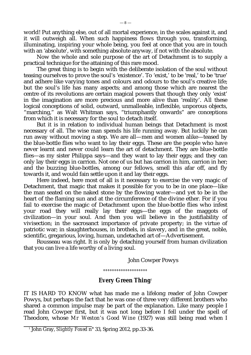world! Put anything else, out of all mortal experience, in the scales against it, and it will outweigh all. When such happiness flows through you, transforming, illuminating, inspiring your whole being, you feel at once that you are in touch with an 'absolute', with something absolute anyway, if not with *the* absolute.

Now the whole and sole purpose of the art of Detachment is to supply a practical technique for the attaining of this rare mood.

The great thing is to begin with the deliberate isolation of the soul without teasing ourselves to prove the soul's 'existence'. To 'exist,' to be 'real,' to be 'true' and adhere like varying tones and colours and odours to the soul's creative life; but the soul's life has many aspects; and among those which are nearest the centre of its revolutions are certain magical powers that though they only 'exist' in the imagination are more precious and more alive than 'reality'. All these logical conceptions of solid, outward, unmalleable, inflexible, unporous objects, "marching," as Walt Whitman says, "triumphantly onwards" are conceptions from which it is necessary for the soul to detach itself.

But it is in relation to individual human beings that Detachment is most necessary of all. The wise man spends his life running away. But luckily he can run away without moving a step. We are all—men and women alike—teased by the blue-bottle flies who want to lay their eggs. These are the people who have never learnt and never could learn the art of detachment. They are blue-bottle flies—as my sister Philippa says—and they want to lay their eggs; and they can only lay their eggs in carrion. Not one of us but has carrion in him, carrion in her; and the buzzing blue-bottles, among our fellows, smell this afar off, and fly towards it, and would fain settle upon it and lay their eggs.

Here indeed, here most of all is it necessary to exercise the very magic of Detachment, that magic that makes it possible for you to be in one place—like the man seated on the naked stone by the flowing water—and yet to be in the heart of the flaming sun and at the circumference of the divine ether. For if you fail to exercise the magic of Detachment upon the blue-bottle flies who infest your road they will really lay their eggs—the eggs of the maggots of civilization—in your soul. And then you will believe in the justifiability of vivisection; in the sacrosanct importance of private property; in the virtue of patriotic war; in slaughterhouses, in brothels, in slavery, and in the great, noble, scientific, gregarious, loving, human, undetached art of—Advertisement.

Rousseau was right. It is only by detaching yourself from human civilization that you can live a life worthy of a living soul.

John Cowper Powys

*°°°°°°°°°°°°°°°°°°°°*

# **Every Green Thing**<sup>1</sup>

IT IS HARD TO KNOW what has made me a lifelong reader of John Cowper Powys, but perhaps the fact that he was one of three very different brothers who shared a common impulse may be part of the explanation. Like many people I read John Cowper first, but it was not long before I fell under the spell of Theodore, whose *Mr Weston's Good Wine* (1927) was still being read when I

1 John Gray, *Slightly Foxed* n° 33, Spring 2012, pp.33-36.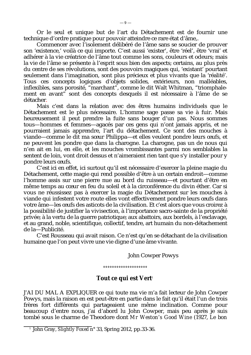Or le seul et unique but de l'art du Détachement est de fournir une technique d'ordre pratique pour pouvoir atteindre ce rare état d'âme,.

Commencer avec l'isolement délibéré de l'âme sans se soucier de prouver son 'existence,' voilà ce qui importe. C'est aussi 'exister', être 'réel', être 'vrai' et adhérer à la vie créatrice de l'âme tout comme les sons, couleurs et odeurs; mais la vie de l'âme se présente à l'esprit sous bien des aspects; certains, au plus près du centre de ses révolutions, sont des pouvoirs magiques qui, 'existant' pourtant seulement dans l'imagination, sont plus précieux et plus vivants que la 'réalité'. Tous ces concepts logiques d'objets solides, extérieurs, non malléables, inflexibles, sans porosité, "marchant", comme le dit Walt Whitman, "triomphalement en avant" sont des concepts desquels il est nécessaire à l'âme de se détacher.

Mais c'est dans la relation avec des êtres humains individuels que le Détachement est le plus nécessaire. L'homme sage passe sa vie à fuir. Mais heureusement il peut prendre la fuite sans bouger d'un pas. Nous sommes tous—hommes et femmes—agacés par ces gens qui n'ont jamais appris, et ne pourraient jamais apprendre, l'art du détachement. Ce sont des mouches à viande—comme le dit ma sœur Philippa—et elles veulent pondre leurs œufs, et ne peuvent les pondre que dans la charogne. La charogne, pas un de nous qui n'en ait en lui, en elle, et les mouches vrombissantes parmi nos semblables la sentent de loin, vont droit dessus et n'aimeraient rien tant que s'y installer pour y pondre leurs œufs.

C'est ici en effet, ici surtout qu'il est nécessaire d'exercer la pleine magie du Détachement, cette magie qui rend possible d'être à un certain endroit—comme l'homme assis sur une pierre nue au bord du ruisseau—et pourtant d'être en même temps au cœur en feu du soleil et à la circonférence du divin éther. Car si vous ne réussissez pas à exercer la magie du Détachement sur les mouches à viande qui infestent votre route elles vont effectivement pondre leurs œufs dans votre âme—les œufs des asticots de la civilisation. Et c'est alors que vous croirez à la possibilité de justifier la vivisection, à l'importance sacro-sainte de la propriété privée; à la vertu de la guerre patriotique; aux abattoirs, aux bordels, à l'esclavage, et au grand, noble, scientifique, collectif, tendre, art humain du non-détachement de la—Publicité.

C'est Rousseau qui avait raison. Ce n'est qu'en se détachant de la civilisation humaine que l'on peut vivre une vie digne d'une âme vivante.

John Cowper Powys

*°°°°°°°°°°°°°°°°°°°°*

# Tout ce qui est Vert<sup>1</sup>

J'AI DU MAL A EXPLIQUER ce qui toute ma vie m'a fait lecteur de John Cowper Powys, mais la raison en est peut-être en partie dans le fait qu'il était l'un de trois frères fort différents qui partageaient une même inclination. Comme pour beaucoup d'entre nous, j'ai d'abord lu John Cowper, mais peu après je suis tombé sous le charme de Theodore dont *Mr Weston's Good Wine* (1927, *Le bon*

<sup>1</sup> John Gray, *Slightly Foxed* n° 33, Spring 2012, pp.33-36.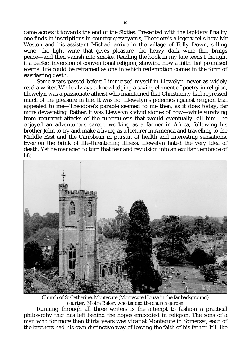came across it towards the end of the Sixties. Presented with the lapidary finality one finds in inscriptions in country graveyards, Theodore's allegory tells how Mr Weston and his assistant Michael arrive in the village of Folly Down, selling wine—the light wine that gives pleasure, the heavy dark wine that brings peace—and then vanish into smoke. Reading the book in my late teens I thought it a perfect inversion of conventional religion, showing how a faith that promised eternal life could be reframed as one in which redemption comes in the form of everlasting death.

Some years passed before I immersed myself in Llewelyn, never as widely read a writer. While always acknowledging a saving element of poetry in religion, Llewelyn was a passionate atheist who maintained that Christianity had repressed much of the pleasure in life. It was not Llewelyn's polemics against religion that appealed to me—Theodore's parable seemed to me then, as it does today, far more devastating. Rather, it was Llewelyn's vivid stories of how—while surviving from recurrent attacks of the tuberculosis that would eventually kill him—he enjoyed an adventurous career, working as a farmer in Africa, following his brother John to try and make a living as a lecturer in America and travelling to the Middle East and the Caribbean in pursuit of health and interesting sensations. Ever on the brink of life-threatening illness, Llewelyn hated the very idea of death. Yet he managed to turn that fear and revulsion into an exultant embrace of life.



Church of St Catherine, Montacute (Montacute House in the far background) *courtesy Moira Baker, who tended the church garden*

Running through all three writers is the attempt to fashion a practical philosophy that has left behind the hopes embodied in religion. The sons of a man who for more than thirty years was vicar at Montacute in Somerset, each of the brothers had his own distinctive way of leaving the faith of his father. If I like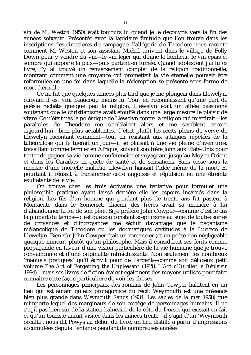*vin de M. Weston* 1950) était toujours lu quand je le découvris vers la fin des années soixante. Présentée avec la lapidaire finitude que l'on trouve dans les inscriptions des cimetières de campagne, l'allégorie de Theodore nous raconte comment M. Weston et son assistant Michel arrivent dans le village de Folly Down pour y vendre du vin—le vin léger qui donne le bonheur, le vin épais et sombre qui apporte la paix—puis partent en fumée. Quand adolescent j'ai lu ce livre, j'y ai trouvé un renversement complet de la religion traditionnelle, montrant comment une croyance qui promettait la vie éternelle pouvait être reformulée en une foi dans laquelle la rédemption se présente sous forme de mort éternelle.

Ce ne fut que quelques années plus tard que je me plongeai dans Llewelyn, écrivain il est vrai beaucoup moins lu. Tout en reconnaissant qu'une part de poésie rachète quelque peu la religion, Llewelyn était un athée passionné soutenant que le christianisme avait étouffé dans une large mesure le plaisir de vivre. Ce n'était pas la polémique de Llewelyn contre la religion qui m'attirait—les paraboles de Theodore me semblaient alors—et me semblent encore aujourd'hui—bien plus accablantes. C'était plutôt les récits pleins de verve de Llewelyn racontant comment—tout en résistant aux attaques répétées de la tuberculose qui le tuerait un jour—il se plaisait à une vie pleine d'aventures, travaillant comme fermier en Afrique, suivant son frère John aux Etats-Unis pour tenter de gagner sa vie comme conférencier et voyageant jusqu'au Moyen Orient et dans les Caraïbes en quête de santé et de sensations. Sans cesse sous la menace d'une mortelle maladie, Llewelyn haïssait l'idée même de la mort. Et pourtant il réussit à transformer cette angoisse et répulsion en une étreinte exultatante de la vie.

On trouve chez les trois écrivains une tentative pour formuler une philosophie pratique ayant laissé derrière elle les espoirs incarnés dans la religion. Les fils d'un homme qui pendant plus de trente ans fut pasteur à Montacute dans le Somerset, chacun des frères avait sa manière à lui d'abandonner la foi de son père. Si je préfère John Cowper—comme c'est le cas la plupart du temps—c'est que son constant scepticisme au sujet de toutes sortes de croyances et d'incroyances me séduit davantage que le paganisme mélancolique de Theodore ou les dogmatiques certitudes à la Lucrèce de Llewelyn. Bien sûr John Cowper était un romancier (et un poète non négligeable quoique mineur) plutôt qu'un philosophe. Mais il considérait ses écrits comme propagande en faveur d'une vision particulière de la vie humaine que je trouve convaincante et d'une originalité rafraîchissante. Non seulement les nombreux 'manuels pratiques' qu'il écrivit pour de l'argent—comme son délicieux petit volume *The Art of Forgetting the Unpleasant* (1928, *L'Art d'Oublier le Déplaisir* 1994)—mais ses livres de fiction étaient également des moyens utilisés pour faire connaître cette façon particulière de voir les choses.

Les personnages principaux des romans de John Cowper habitent en un lieu qui est autant qu'eux protagoniste du récit. Weymouth est une présence bien plus grande dans *Weymouth Sands* (1934, *Les sables de la mer* 1958) que n'importe lequel des marginaux de son cortège de personnages humains. Il ne s'agit pas bien sûr de la station balnéaire de la côte du Dorset qui existait en fait et qu'un touriste aurait visitée dans les années trente—il s'agit d'un 'Weymouth occulte', nous dit Powys au début du livre, un lieu distillé à partir d'impressions accumulées depuis l'enfance pendant de nombreuses années.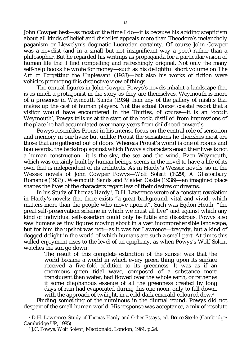John Cowper best—as most of the time I do—it is because his abiding scepticism about all kinds of belief and disbelief appeals more than Theodore's melancholy paganism or Llewelyn's dogmatic Lucrecian certainty. Of course John Cowper was a novelist (and in a small but not insignificant way a poet) rather than a philosopher. But he regarded his writings as propaganda for a particular vision of human life that I find compelling and refreshingly original. Not only the many self-help books he wrote for money—such as his delightful short volume on *The Art of Forgetting the Unpleasant* (1928)—but also his works of fiction were vehicles promoting this distinctive view of things.

The central figures in John Cowper Powys's novels inhabit a landscape that is as much a protagonist in the story as they are themselves. Weymouth is more of a presence in *Weymouth Sands* (1934) than any of the gallery of misfits that makes up the cast of human players. Not the actual Dorset coastal resort that a visitor would have encountered in the Thirties, of course—it is an 'occult Weymouth', Powys tells us at the start of the book, distilled from impressions of the place he had accumulated over many years from childhood onwards.

Powys resembles Proust in his intense focus on the central role of sensation and memory in our lives; but unlike Proust the sensations he cherishes most are those that are gathered out of doors. Whereas Proust's world is one of rooms and boulevards, the backdrop against which Powys's characters enact their lives is not a human construction—it is the sky, the sea and the wind. Even Weymouth, which was certainly built by human beings, seems in the novel to have a life of its own that is independent of its architects. As in Hardy's Wessex novels, so in the Wessex novels of John Cowper Powys—*Wolf Solent* (1929), *A Glastonbury Romance* (1933) , *Weymouth Sands* and *Maiden Castle* (1936)—an imagined place shapes the lives of the characters regardless of their desires or dreams.

In his *Study of Thomas Hardy<sup>2</sup>, D.H. Lawrence wrote of a constant revelation* in Hardy's novels: that there exists "a great background, vital and vivid, which matters more than the people who move upon it". Such was Egdon Heath, "the great self-preservation scheme in which we must all live" and against which any kind of individual self-assertion could only be futile and disastrous. Powys also saw humans as tiny figures moving about in a vast incomprehensible landscape, but for him the upshot was not—as it was for Lawrence—tragedy, but a kind of dogged delight in the world of which humans are such a small part. At times this willed enjoyment rises to the level of an epiphany, as when Powys's Wolf Solent watches the sun go down:

> The result of this complete extinction of the sunset was that the world became a world in which every green thing upon its surface received a five-fold addition to its greenness. It was as if an enormous green tidal wave, composed of a substance more translucent than water, had flowed over the whole earth; or rather as if some diaphanous essence of all the greenness created by long days of rain had evaporated during this one noon, only to fall down, with the approach of twilight, in a cold dark emerald-coloured dew.<sup>3</sup>

Finding something of the numinous in the diurnal round, Powys did not despair of the small human world. His response was acceptance, a mix of resolute

<sup>2</sup> D.H. Lawrence, *Study of Thomas Hardy and Other Essays*, ed. Bruce Steele (Cambridge: Cambridge UP, 1985)

<sup>3</sup> J.C. Powys, *Wolf Solent*, Macdonald, London, 1961, p.24.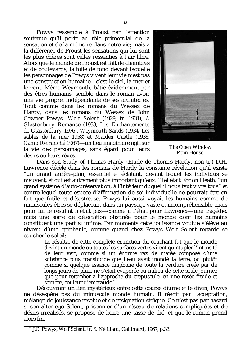Powys ressemble à Proust par l'attention soutenue qu'il porte au rôle primordial de la sensation et de la mémoire dans notre vie; mais à la différence de Proust les sensations qui lui sont les plus chères sont celles ressenties à l'air libre. Alors que le monde de Proust est fait de chambres et de boulevards, la toile de fond devant laquelle les personnages de Powys vivent leur vie n'est pas une construction humaine—c'est le ciel, la mer et le vent. Même Weymouth, bâtie évidemment par des êtres humains, semble dans le roman avoir une vie propre, indépendante de ses architectes. Tout comme dans les romans du Wessex de Hardy, dans les romans du Wessex de John Cowper Powys—*Wolf Solent* (1929, tr. 1931), *A Glastonbury Romance* (1933, *Les Enchantements de Glastonbury* 1976), *Weymouth Sands* (1934, *Les sables de la mer* 1958) et *Maiden Castle* (1936, *Camp Retranché* 1967)—un lieu imaginaire agit sur la vie des personnages, sans égard pour leurs désirs ou leurs rêves.



*The Open Window* Penn House

Dans son *Study of Thomas Hardy* (Etude de Thomas Hardy, non tr.) D.H. Lawrence décèle dans les romans de Hardy la constante révélation qu'il existe "un grand arrière-plan, essentiel et éclatant, devant lequel les individus se meuvent, et qui est autrement plus important qu'eux." Tel était Egdon Heath, "un grand système d'auto-préservation, à l'intérieur duquel il nous faut vivre tous" et contre lequel toute espèce d'affirmation de soi individuelle ne pourrait être en fait que futile et désastreuse. Powys lui aussi voyait les humains comme de minuscules êtres se déplaceant dans un paysage vaste et incompréhensible, mais pour lui le résultat n'était pas—comme il l'était pour Lawrence—une tragédie, mais une sorte de délectation obstinée pour le monde dont les humains constituent une part si infime. Par moments cette jouissance voulue s'élève au niveau d'une épiphanie, comme quand chez Powys Wolf Solent regarde se coucher le soleil:

Le résultat de cette complète extinction du couchant fut que le monde devint un monde où toutes les surfaces vertes virent quintupler l'intensité de leur vert, comme si un énorme raz de marée composé d'une substance plus translucide que l'eau avait inondé la terre; ou plutôt comme si quelque essence diaphane de toute la verdure créée par de longs jours de pluie ne s'était évaporée au milieu de cette seule journée que pour retomber à l'approche du crépuscule, en une rosée froide et sombre, couleur d'émeraude.<sup>2</sup>

Découvrant un lien mystérieux entre cette course diurne et le divin, Powys ne désespère pas du minuscule monde humain. Il réagit par l'acceptation, mélange de jouissance résolue et de résignation stoïque. Ce n'est pas par hasard si son alter ego Solent, prisonnier d'un réseau de relations compliquées et de désirs irréalisés, se propose de boire une tasse de thé, et que le roman prend alors fin.

<sup>2</sup> J.C. Powys, *Wolf Solent*, tr. S. Nétillard, Gallimard, 1967, p.33.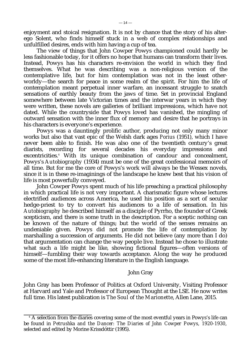enjoyment and stoical resignation. It is not by chance that the story of his alterego Solent, who finds himself stuck in a web of complex relationships and unfulfilled desires, ends with him having a cup of tea.

The view of things that John Cowper Powys championed could hardly be less fashionable today, for it offers no hope that humans can transform their lives. Instead, Powys has his characters re-envision the world in which they find themselves. What he was describing was a non-religious version of the contemplative life, but for him contemplation was not in the least otherworldy—the search for peace in some realm of the spirit. For him the life of contemplation meant perpetual inner warfare, an incessant struggle to snatch sensations of earthly beauty from the jaws of time. Set in provincial England somewhere between late Victorian times and the interwar years in which they were written, these novels are galleries of brilliant impressions, which have not dated. While the countryside that Powys loved has vanished, the mingling of outward sensation with the inner flux of memory and desire that he portrays in his characters is everyone's experience.

Powys was a dauntingly prolific author, producing not only many minor works but also that vast epic of the Welsh dark ages *Porius* (1951), which I have never been able to finish. He was also one of the twentieth century's great diarists, recording for several decades his everyday impressions and excentricities.<sup>4</sup> With its unique combination of candour and concealment, Powys's *Autobiography* (1934) must be one of the great confessional memoirs of all time. But for me the core of Powys's work will always be the Wessex novels, since it is in these re-imaginings of the landscape he knew best that his vision of life is most powerfully conveyed.

John Cowper Powys spent much of his life preaching a practical philosophy in which practical life is not very important. A charismatic figure whose lectures electrified audiences across America, he used his position as a sort of secular hedge-priest to try to convert his audiences to a life of sensation. In his *Autobiography* he described himself as a disciple of Pyrrho, the founder of Greek scepticism, and there is some truth in the description. For a sceptic nothing can be known of the nature of things; but the world of the senses remains an undeniable given. Powys did not promote the life of contemplation by marshalling a succession of arguments. He did not believe (any more than I do) that argumentation can change the way people live. Instead he chose to illustrate what such a life might be like, showing fictional figures—often versions of himself—fumbling their way towards acceptance. Along the way he produced some of the most life-enhancing literature in the English language.

## John Gray

John Gray has been Professor of Politics at Oxford University, Visiting Professor at Harvard and Yale and Professor of European Thought at the LSE. He now writes full time. His latest publication is *The Soul of the Marionette*, Allen Lane, 2015.

<sup>&</sup>lt;sup>4</sup> A selection from the diaries covering some of the most eventful years in Powys's life can be found in *Petrushka and the Dancer: The Diaries of John Cowper Powys, 1920-1930*, selected and edited by Morine Krissdóttir (1995).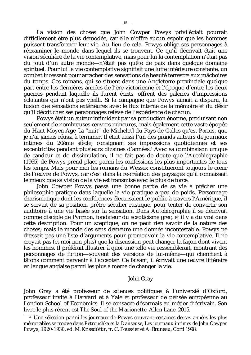La vision des choses que John Cowper Powys privilégiait pourrait difficilement être plus démodée, car elle n'offre aucun espoir que les hommes puissent transformer leur vie. Au lieu de cela, Powys oblige ses personnages à réexaminer le monde dans lequel ils se trouvent. Ce qu'il décrivait était une vision séculière de la vie contemplative, mais pour lui la contemplation n'était pas du tout d'un autre monde—n'était pas quête de paix dans quelque domaine spirituel. Pour lui la vie contemplative signifiait une lutte intérieure constante, un combat incessant pour arracher des sensations de beauté terrestre aux mâchoires du temps. Ces romans, qui se situent dans une Angleterre provinciale quelque part entre les dernières années de l'ère victorienne et l'époque d'entre les deux guerres pendant laquelle ils furent écrits, offrent des galeries d'impressions éclatantes qui n'ont pas vieilli. Si la campagne que Powys aimait a disparu, la fusion des sensations extérieures avec le flux interne de la mémoire et du désir qu'il décrit chez ses personnages relève de l'expérience de chacun.

Powys était un auteur intimidant par sa production énorme, produisant non seulement de nombreuses œuvres mineures, mais également cette vaste épopée du Haut Moyen-Age [la "nuit" de Michelet] du Pays de Galles qu'est *Porius*, que je n'ai jamais réussi à terminer. Il était aussi l'un des grands auteurs de journaux intimes du 20ème siècle, consignant ses impressions quotidiennes et ses excentricités pendant plusieurs dizaines d'années.<sup>3</sup> Avec sa combinaison unique de candeur et de dissimulation, il ne fait pas de doute que l'*Autobiographie* (1965) de Powys prend place parmi les confessions les plus importantes de tous les temps. Mais pour moi les romans du Wessex constitueront toujours le cœur de l'œuvre de Powys, car c'est dans la re-création des paysages qu'il connaissait le mieux que sa vision de la vie est transmise avec le plus de force.

John Cowper Powys passa une bonne partie de sa vie à prêcher une philosophie pratique dans laquelle la vie pratique a peu de poids. Personnage charismatique dont les conférences électrisaient le public à travers l'Amérique, il se servait de sa position, prêtre séculier rustique, pour tenter de convertir son auditoire à une vie basée sur la sensation. Dans *Autobiographie* il se décrivait comme disciple de Pyrrhon, fondateur du scepticisme grec, et il y a du vrai dans cette description. Pour un sceptique, on ne peut rien savoir de la nature des choses; mais le monde des sens demeure une donnée incontestable. Powys ne dressait pas une liste d'arguments pour promouvoir la vie contemplative. Il ne croyait pas (et moi non plus) que la discussion peut changer la façon dont vivent les hommes. Il préférait illustrer à quoi une telle vie ressemblerait, montrant des personnages de fiction—souvent des versions de lui-même—qui cherchent à tâtons comment parvenir à l'accepter. Ce faisant, il écrivait une œuvre littéraire en langue anglaise parmi les plus à même de changer la vie.

## John Gray

John Gray a été professeur de sciences politiques à l'universié d'Oxford, professeur invité à Harvard et à Yale et professeur de pensée européenne au London School of Economics. Il se consacre désormais au métier d'écrivain. Son livre le plus récent est *The Soul of the Marionette*, Allen Lane, 2015.

<sup>&</sup>lt;sup>3</sup> Une sélection parmi les journaux de Powys couvrant certaines de ses années les plus mémorables se trouve dans *Petrouchka et la Danseuse, Les journaux intimes de John Cowper Powys, 1920-1930*, ed. M. Krissdóttir, tr. C. Poussier et A. Bruneau, Corti 1998.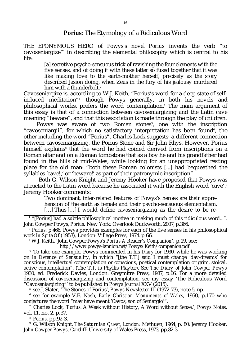# *Porius*: The Etymology of a Ridiculous Word

THE EPONYMOUS HERO of Powys's novel *Porius* invents the verb "to cavoseniargize"<sup>1</sup> in describing the elemental philosophy which is central to his life:

> [a] secretive psycho-sensuous trick of ravishing the four elements with the five senses, and of doing it with these latter so fused together that it was like making love to the earth-mother herself, precisely as the story described Jasion doing, when Zeus in the fury of his jealousy murdered him with a thunderbolt.<sup>2</sup>

Cavoseniargize is, according to W.J. Keith, "Porius's word for a deep state of selfinduced meditation"3—though Powys generally, in both his novels and philosophical works, prefers the word contemplation.<sup>4</sup> The main argument of this essay is that of a connection between cavoseniargizing and the Latin *cave* meaning "beware", and that this association is made through the play of children.

Powys was aware of two Roman stones<sup>5</sup>, one with the inscription "cavoseniargii", for which no satisfactory interpretation has been found<sup>6</sup>, the other including the word "Porius". Charles Lock suggests<sup>,</sup> a different connection between cavoseniargizing, the Porius Stone and Sir John Rhys. However, Porius himself explains<sup>8</sup> that the word he had coined derived from inscriptions on a Roman altar and on a Roman tombstone that as a boy he and his grandfather had found in the hills of mid-Wales, while looking for an unappropriated resting place for the old man: "both these Roman colonists [...] had bequeathed the syllables '*cave!*,' or 'beware!' as part of their patronymic inscription".

 Both G. Wilson Knight and Jeremy Hooker have proposed that Powys was attracted to the Latin word because he associated it with the English word 'cave'.<sup>9</sup> Jeremy Hooker comments:

Two dominant, inter-related features of Powys's heroes are their appre-

hension of the earth as female and their psycho-sensuous elementalism.

[...] Thus [...] I would define *cavoseniargizing* as the desire to be re-

 $^{\rm _{1}}$  "[Porius] had a subtle philosophical motive in making much of this ridiculous word...". John Cowper Powys, *Porius.* New York: Overlook Duckworth, 2007, p.366.

<sup>2</sup> *Porius*, p.466. Powys provides examples for each of the five senses in his philosophical work *In Spite Of* (1953)*,* London: Village Press, 1974. p*.*66.

3 W.J. Keith, 'John Cowper Powys*'s Porius A Reader's Companion*'*,* p.19, see:

[http://www.powys-lannion.net/Powys/Keith/companion.pdf.](http://www.powys-lannion.net/Powys/Keith/companion.pdf)

<sup>4</sup> To take one example, Powys commented in his *Diary* for 1930, while he was working on *In Defence of Sensuality*, in which "[the T.T.] said I must change 'day-dreams' for conscious, intellectual contemplation or conscious, poetical contemplation or grim, stoical, active contemplation". (The T.T. is Phyllis Playter). See *The Diary of John Cowper Powys* 1930, ed. Frederick Davies, London: Greymitre Press, 1987, p.66. For a more detailed discussion of cavoseniargizing and contemplation, see my essay 'The Ridiculous Word "Cavoseniargizing"' to be published in *Powys Journal* XXV (2015).

<sup>5</sup> see J. Slater, 'The Stones of Porius', *Powys Newsletter* III (1972-73), note 5, np.

<sup>6</sup> see for example V.E. Nash, *Early Christian Monuments of Wales,* 1950, p.170 who conjectures the word "may have meant 'Cavos, son of Seniargio'".

<sup>7</sup> Charles Lock, '*Porius*: A Week without History, A Word without Sense.', *Powys Notes,* vol. 11, no. 2, p.37.

<sup>8</sup> *Porius*, pp.92-3.

<sup>9</sup> G. Wilson Knight, *The Saturnian Quest, London:* Methuen, 1964, p. 80; Jeremy Hooker, *John Cowper Powys,* Cardiff: University of Wales Press, 1973, pp.82-3.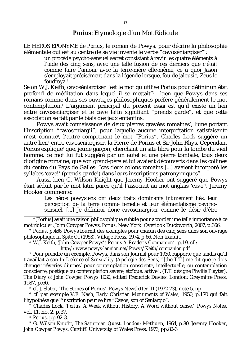# *Porius*: Etymologie d'un Mot Ridicule

LE HÉROS EPONYME de *Porius*, le roman de Powys, pour décrire la philosophie élémentale qui est au centre de sa vie invente le verbe "cavoséniargiser"<sup>1</sup> :

un procédé psycho-sensuel secret consistant à ravir les quatre éléments à l'aide des cinq sens, avec une telle fusion de ces derniers que c'était comme faire l'amour avec la terre-mère elle-même, ce à quoi Jason s'employait précisément dans la légende lorsque, fou de jalousie, Zeus le foudroya.<sup>2</sup>

Selon W.J. Keith, cavoséniargiser "est le mot qu'utilise Porius pour définir un état profond de méditation dans lequel il se mettait"3—bien que Powys dans ses romans comme dans ses ouvrages philosophiques préfère généralement le mot contemplation.<sup>4</sup> L'argument principal du présent essai est qu'il existe un lien entre cavoseniargiser et le *cave* latin signifiant "prends garde", et que cette association se fait par le biais des jeux enfantins.

Powys avait connaissance de deux pierres gravées romaines5, l'une portant l'inscription "cavoseniargii", pour laquelle aucune interprétation satisfaisante n'est connue®, l'autre comprenant le mot "Porius". Charles Lock suggère un autre lien<sup>,</sup> entre cavoseniargiser, la Pierre de Porius et Sir John Rhys. Cependant Porius explique<sup>s</sup> que, jeune garçon, cherchant un site libre pour la tombe du vieil homme, ce mot lui fut suggéré par un autel et une pierre tombale, tous deux d'origine romaine, que son grand-père et lui avaient découverts dans les collines du centre du Pays de Galles: "ces deux colons romains [...] avaient incorporé les syllabes '*cave!*' (prends garde!) dans leurs inscriptions patronymiques".

Aussi bien G. Wilson Knight que Jeremy Hooker ont suggéré que Powys était séduit par le mot latin parce qu'il l'associait au mot anglais 'cave'<sup>9</sup> . Jeremy Hooker commente:

Les héros powysiens ont deux traits dominants intimement liés, leur perception de la terre comme femelle et leur élémentalisme psychosensuel. [...] Je définirai donc *cavoseniargiser* comme le désir d'être

 $1$  "[Porius] avait une raison philosophique subtile pour accorder une telle importance à ce mot ridicule". John Cowper Powys, *Porius*. New York: Overlook Duckworth, 2007, p.366.

<sup>2</sup> *Porius*, p.466. Powys fournit des exemples pour chacun des cinq sens dans son ouvrage philosophique *In Spite Of* (1953), Village Press, 1974, p.66. Non traduit.

<sup>3</sup> W.J. Keith, 'John Cowper Powys*'s Porius A Reader's Companion*'*,* p.19, cf.:

<http://www.powys-lannion.net/Powys/Keith/companion.pdf>

<sup>4</sup> Pour prendre un exemple, Powys, dans son Journal pour 1930, rapporte que tandis qu'il travaillait à son *In Defence of Sensuality* (*Apologie des Sens*) "[the T.T.] me dit que je dois changer 'rêveries diurnes' pour contemplation consciente, intellectuelle, ou contemplation consciente, poétique ou contemplation sévère, stoïque, active". (T.T. désigne Phyllis Playter). *The Diary of John Cowper Powys* 1930, edited Frederick Davies. London: Greymitre Press, 1987, p.66.

<sup>5</sup> cf. J. Slater, 'The Stones of Porius', *Powys Newsletter* III (1972-73), note 5, np.

<sup>6</sup> cf. par exemple V.E. Nash, *Early Christian Monuments of Wales,* 1950, p.170 qui fait l'hypothèse que l'inscription peut se lire "Cavos, son of Seniargio".

<sup>7</sup> Charles Lock, '*Porius*: A Week without History, A Word without Sense.', *Powys Notes,* vol. 11, no. 2, p.37.

<sup>8</sup> *Porius*, pp.92-3.

<sup>9</sup> G. Wilson Knight, *The Saturnian Quest, London:* Methuen, 1964, p.80. Jeremy Hooker, *John Cowper Powys,* Cardiff: University of Wales Press, 1973, pp.82-3.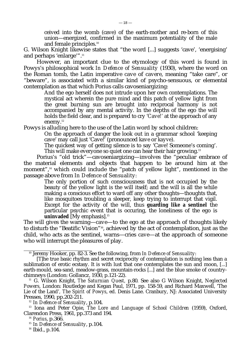ceived into the womb (cave) of the earth-mother and re-born of this union—energized, confirmed in the maximum potentiality of the male and female principles.<sup>10</sup>

G. Wilson Knight likewise states that "the word [...] suggests 'cave', 'energising' and perhaps 'enlarge'".<sup>11</sup>

However, an important clue to the etymology of this word is found in Powys's philosophical work *In Defence of Sensuality* (1930), where the word on the Roman tomb, the Latin imperative *cave* of *cavere*, meaning "take care", or "beware", is associated with a similar kind of psycho-sensuous, or elemental contemplation as that which Porius calls cavoseniargizing:

And the ego herself does not intrude upon her own contemplations. The mystical act wherein the pure mind and this patch of yellow light from the great burning sun are brought into reciprocal harmony is not accompanied by any mental activity. In the depths of the ego the will holds the field clear, and is prepared to cry '*Cave!'* at the approach of any enemy.<sup>12</sup>

Powys is alluding here to the use of the Latin word by school children:

On the approach of danger the look out in a grammar school 'keeping cave' may call just 'Cave!' (pronounced *kave* or *kayve*).

The quickest way of getting silence is to say 'Cave! Someone's coming'. This will make everyone so quiet one can hear their hair growing.<sup>13</sup>

Porius's "old trick"—cavoseniargizing—involves the "peculiar embrace of the material elements and objects that happen to be around him at the moment",<sup>14</sup> which could include the "patch of yellow light", mentioned in the passage above from *In Defence of Sensuality:*

The only portion of such consciousness that is not occupied by the beauty of the yellow light is the will itself; and the will is all the while making a conscious effort to ward off any other thoughts—thoughts that, like mosquitoes troubling a sleeper, keep trying to interrupt that vigil. Except for the activity of the will, thus **guarding like a sentinel** the particular psychic event that is occuring, the loneliness of the ego is **uninvaded** [My emphasis].<sup>15</sup>

The will gives the warning—*cave*—to the ego at the approach of thoughts likely to disturb the "Beatific Vision"16, achieved by the act of contemplation, just as the child, who acts as the sentinel, warns—cries *cave*—at the approach of someone who will interrupt the pleasures of play.

<sup>10</sup> Jeremy Hooker, pp. 82-3. See the following, from *In Defence of Sensuality*:

<sup>[</sup>T]he true basic rhythm and secret reciprocity of contemplation is nothing less than a sublimation of erotic ecstasy. It is with lust that one contemplates the sun and moon, [...] earth-mould, sea-sand, meadow-grass, mountain-rocks [...] and the blue smoke of countrychimneys (London: Gollancz, 1930, p.121-22).

<sup>11</sup> G. Wilson Knight, *The Saturnian Quest,* p.80. See also G Wilson Knight, *Neglected Powers,* London: Routledge and Kegan Paul, 1971, pp. 158-59, and Richard Maxwell, 'The Lie of the Land'*, The Spirit of Powys*, ed. Denis Lane. Cranbury, NJ: Associated University Presses, 1990, pp.202-211.

<sup>12</sup> *In Defence of Sensuality*, p.104.

<sup>13</sup> Iona and Peter Opie, *The Lore and Language of School Children* (1959), Oxford, Clarendon Press, 1961, pp.373 and 194.

<sup>14</sup> *Porius*, p.366.

<sup>15</sup> *In Defence of Sensuality*, p.104.

<sup>&</sup>lt;sup>16</sup> Ibid., p.104.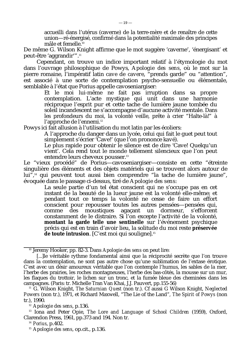accueilli dans l'utérus (caverne) de la terre-mère et de renaître de cette union—ré-énergisé, confirmé dans la potentialité maximale des principes mâle et femelle.<sup>10</sup>

De même G. Wilson Knight affirme que le mot suggère 'caverne', 'énergisant' et peut-être 'aggrandir'".<sup>11</sup>

Cependant, on trouve un indice important relatif à l'étymologie du mot dans l'ouvrage philosophique de Powys, *Apologie des sens*, où le mot sur la pierre romaine, l'impératif latin *cave* de *cavere*, "prends garde" ou "attention", est associé à une sorte de contemplation psycho-sensuelle ou élémentale, semblable à l'état que Porius appelle cavoseniargiser:

Et le moi lui-même ne fait pas irruption dans sa propre contemplation. L'acte mystique qui unit dans une harmonie réciproque l'esprit pur et cette tache de lumière jaune tombée du soleil incandescent ne s'accompagne d'aucune activité mentale. Dans les profondeurs du moi, la volonté veille, prête à crier "Halte-là!" à l'approche de l'ennemi.<sup>12</sup>

Powys ici fait allusion à l'utilisation du mot latin par les écoliers:

A l'approche du danger dans un lycée, celui qui fait le guet peut tout simplement s'écrier 'Cave!' (que l'on prononce *kavé*).

Le plus rapide pour obtenir le silence est de dire 'Cave! Quelqu'un vient'. Cela rend tout le monde tellement silencieux que l'on peut entendre leurs cheveux pousser.<sup>13</sup>

Le "vieux procédé" de Porius—cavoseniargiser—consiste en cette "étreinte singulière des éléments et des objets matériels qui se trouvent alors autour de lui",<sup>14</sup> qui peuvent tout aussi bien comprendre "la tache de lumière jaune", évoquée dans le passage ci-dessus, tiré de *Apologie des sens*:

> La seule partie d'un tel état conscient qui ne s'occupe pas en cet instant de la beauté de la lueur jaune est la volonté elle-même; et pendant tout ce temps la volonté ne cesse de faire un effort conscient pour repousser toutes les autres pensées—pensées qui, comme des moustiques agaçant un dormeur, s'efforcent constamment de le distraire. Si l'on excepte l'activité de la volonté, **montant la garde telle une sentinelle** sur l'événement psychique précis qui est en train d'avoir lieu, la solitude du moi reste **préservée** de toute intrusion. [C'est moi qui souligne].<sup>15</sup>

<sup>10</sup> Jeremy Hooker, pp. 82-3. Dans *Apologie des sens* on peut lire:

<sup>[...]</sup>le véritable rythme fondamental ainsi que la réciprocité secrète que l'on trouve dans la contemplation, ne sont pas autre chose qu'une sublimation de l'extase érotique. C'est avec un désir amoureux véritable que l'on contemple l'humus, les sables de la mer, l'herbe des prairies, les roches montagneuses, l'herbe des bas-côtés, la mousse sur un mur, les flaques du trottoir, le lichen sur un tronc, et la fumée bleue des cheminées dans les campagnes. (Paris: tr. Michelle Tran Van Khai, J.J. Pauvert, pp.155-56)

<sup>11</sup> G. Wilson Knight, *The Saturnian Quest* (non tr.). Cf aussi G Wilson Knight, *Neglected Powers* (non tr.), 1971, et Richard Maxwell, "The Lie of the Land"*, The Spirit of Powys* (non tr.), 1990.

<sup>12</sup> *Apologie des sens*, p.136.

<sup>13</sup> Iona and Peter Opie, *The Lore and Language of School Children* (1959), Oxford, Clarendon Press, 1961, pp.373 and 194. Non tr.

<sup>14</sup> *Porius*, p.402.

<sup>15</sup> *Apologie des sens*, op.cit., p.136.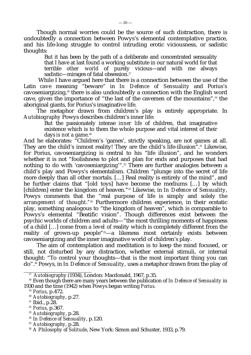Though normal worries could be the source of such distraction, there is undoubtedly a connection between Powys's elemental contemplative practice, and his life-long struggle to control intruding erotic viciousness, or sadistic thoughts:

But it has been by the path of a deliberate and concentrated sensuality that I have at last found a working substitute in our natural world for that terrible other world of purely vicious—and with me always world of purely vicious—and with me always sadistic—mirages of fatal obsession.<sup>17</sup>

 While I have argued here that there is a connection between the use of the Latin *cave* meaning "beware" in *In Defence of Sensuality* and Porius's cavoseniargizing,18 there is also undoubtedly a connection with the English word cave, given the importance of "the last of the cavemen of the mountains",19 the aboriginal giants, for Porius's imaginative life.

The metaphor drawn from children's play is entirely appropriate. In *Autobiography* Powys describes children's inner life:

But the passionately intense *inner life* of children, that imaginative existence which is to them the whole purpose and vital interest of their days *is not a game.*<sup>20</sup>

And he elaborates: "Children's 'games', strictly speaking, are not games at all. They are the child's inmost reality! They are the child's life-illusion".<sup>21</sup> Likewise, for Porius, cavoseniargizing is central to his "life illusion", and he wonders whether it is not "foolishness to plot and plan for ends and purposes that had nothing to do with 'cavoseniargizing'".<sup>22</sup> There are further analogies between a child's play and Powys's elementalism. Children "plunge into the secret of life more deeply than all other mortals. […] Real reality is entirely of the mind", and he further claims that "[old toys] have become the mediums […] by which [children] enter the kingdom of heaven."23 Likewise, in *In Defence of Sensuality*, Powys comments that the "real purpose of life is simply and solely *the* arrangement of thought.<sup>"24</sup> Furthermore children experience, in their ecstatic play, something analogous to "the kingdom of heaven", which is comparable to Powys's elemental "Beatific vision". Though differences exist between the psychic worlds of children and adults—"the most thrilling moments of happiness of a child […] come from *a level of* reality which is completely different from the reality of grown-up people"<sup>25</sup>—a likeness most certainly exists between cavoseniargizing and the inner imaginative world of children's play.

The aim of contemplation and meditation is to keep the mind focused, or still, not disturbed by any distraction, whether external stimuli, or internal thought: "To control your thoughts—that is the most important thing you can do".26 Powys, in *In Defence of Sensuality,* uses a metaphor drawn from the play of

<sup>17</sup> *Autobiograph*y (1934), London: Macdonald, 1967, p.35.

<sup>&</sup>lt;sup>18</sup> Even though there are many years between the publication of *In Defence of Sensuality* in 1930 and the time (1942) when Powys began writing *Porius*.

<sup>19</sup> *Porius*, p.472.

<sup>20</sup> *Autobiography*, p.27.

 $21$  Ibid., p.28.

<sup>22</sup> *Porius*, p.367.

<sup>23</sup> *Autobiography*, p.28.

<sup>24</sup> *In Defence of Sensuality*, p.120.

<sup>25</sup> *Autobiography*, p.28.

<sup>26</sup> *A Philosophy of Solitude*, New York: Simon and Schuster, 1933, p.79.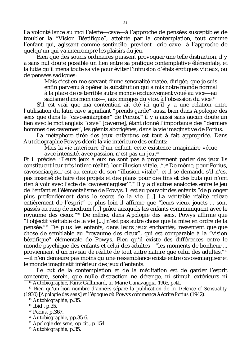La volonté lance au moi l'alerte—*cave*—à l'approche de pensées susceptibles de troubler la "Vision Béatifique", atteinte par la contemplation, tout comme l'enfant qui, agissant comme sentinelle, prévient—crie *cave*—à l'approche de quelqu'un qui va interrompre les plaisirs du jeu.

Bien que des soucis ordinaires puissent provoquer une telle distraction, il y a sans nul doute possible un lien entre sa pratique contemplative élémentale, et la lutte qu'il mena toute sa vie pour éviter l'intrusion d'états érotiques vicieux, ou de pensées sadiques:

Mais c'est en me servant d'une sensualité matée, dirigée, que je suis enfin parvenu à opérer la substitution qui a mis notre monde normal à la place de ce terrible *autre monde* exclusivement voué au vice—au sadisme dans mon cas—, aux mirages du vice, à l'obsession du vice.<sup>16</sup>

S'il est vrai que ma contention ait été ici qu'il y a une relation entre l'utilisation du latin *cave* signifiant "prends garde" aussi bien dans *Apologie des sens* que dans le "cavoseniargiser" de Porius,<sup>17</sup> il y a aussi sans aucun doute un lien avec le mot anglais "cave" [caverne], étant donné l'importance des "derniers hommes des cavernes", les géants aborigènes, dans la vie imaginative de Porius.

La métaphore tirée des jeux enfantins est tout à fait appropriée. Dans *Autobiographie* Powys décrit la vie intérieure des enfants:

Mais la *vie intérieure* d'un enfant, cette existence imaginaire vécue avec intensité, avec passion, *n'est pas un jeu*. 18

Et il précise: "Leurs jeux à eux ne sont pas à proprement parler des jeux Ils constituent leur très intime réalité, leur illusion vitale...".19 De même, pour Porius, cavoseniargiser est au centre de son "illusion vitale", et il se demande s'il n'est pas insensé de faire des projets et des plans pour des fins et des buts qui n'ont rien à voir avec l'acte de 'cavoseniargiser'".20 Il y a d'autres analogies entre le jeu de l'enfant et l'élémentalisme de Powys. Il est au pouvoir des enfants "de plonger plus profondément dans le secret de la vie. [...] La véritable réalité relève entièrement de l'esprit" et plus loin il affirme que "leurs vieux jouets ... sont passés au rang de medium [...] grâce auxquels les enfants communiquent avec le royaume des cieux."21 De même, dans *Apologie des sens*, Powys affirme que "l'objectif véritable de la vie [...] n'est pas autre chose que la mise en ordre de la pensée."22 De plus les enfants, dans leurs jeux enchantés, ressentent quelque chose de semblable au "royaume des cieux", qui est comparable à la "vision béatifique" élémentale de Powys. Bien qu'il existe des différences entre le monde psychique des enfants et celui des adultes—"les moments de bonheur ... proviennent d'un *niveau de réalité* de tout autre nature que celui des adultes."<sup>23</sup> —il n'en demeure pas moins qu'une ressemblance existe entre cavoseniargiser et le monde imaginatif intérieur des jeux d'enfants.

Le but de la contemplation et de la méditation est de garder l'esprit concentré, serein, que nulle distraction ne dérange, ni stimuli extérieurs ni <sup>16</sup> *Autobiographie*, Paris: Gallimard, tr. Marie Canavaggia, 1965, p.41.

<sup>17</sup> Bien qu'un bon nombre d'années sépare la publication de *In Defence of Sensuality* (1930) [*Apologie des sens*] et l'époque où Powys commença à écrire *Porius* (1942).

<sup>18</sup> *Autobiographie*, p.35.

- <sup>20</sup> *Porius*, p.367.
- <sup>21</sup> *Autobiographie*, pp.35-6.

<sup>22</sup> *Apologie des sens,* op.cit., p.154.

<sup>23</sup> *Autobiographie*, p.35.

<sup>19</sup> Ibid., p.35.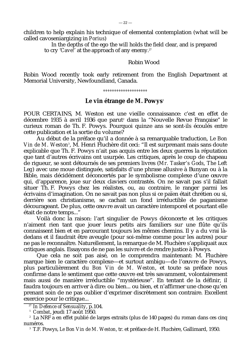children to help explain his technique of elemental contemplation (what will be called cavoseniargizing in *Porius*)

 In the depths of the ego the will holds the field clear, and is prepared to cry '*Cave!*' at the approach of any enemy.<sup>27</sup>

Robin Wood

Robin Wood recently took early retirement from the English Department at Memorial University, Newfoundland, Canada.

*°°°°°°°°°°°°°°°°°°°°*

#### Le vin étrange de M. Powys<sup>1</sup>

POUR CERTAINS, M. Weston est une vieille connaissance: c'est en effet de décembre 1935 à avril 1936 que parut<sup>2</sup> dans la "Nouvelle Revue Française" le curieux roman de Th. F. Powys. Pourquoi quinze ans se sont-ils écoulés entre cette publication et la sortie du volume?

Au début de la préface qu'il a donnée à sa remarquable traduction, *Le Bon* Vin de M. Weston<sup>3</sup>, M. Henri Fluchère dit ceci: "Il est surprenant mais sans doute explicable que Th. F. Powys n'ait pas acquis entre les deux guerres la réputation que tant d'autres écrivains ont usurpée. Les critiques, après le coup de chapeau de rigueur, se sont détournés de ses premiers livres (*Mr. Tasker's Gods*, *The Left Leg*) avec une moue distinguée, satisfaits d'une phrase allusive à Bunyan ou à la Bible, mais décidément déconcertés par le symbolisme complexe d'une œuvre qui, d'apparence, joue sur deux claviers contrastés. On ne savait pas s'il fallait situer Th. F. Powys chez les réalistes, ou, au contraire, le ranger parmi les écrivains d'imagination. On ne savait pas non plus si ce païen était chrétien ou si, derrière son christianisme, se cachait un fond irréductible de paganisme décourageant. De plus, cette œuvre avait un caractère intemporel et pourtant elle était de notre temps..."

Voilà donc la raison: l'art singulier de Powys déconcerte et les critiques n'aiment rien tant que jouer leurs petits airs familiers sur une flûte qu'ils connaissent bien et en parcourant toujours les mêmes chemins. Il y a du vrai làdedans et il faudrait être aveugle (pour soi-même comme pour les autres) pour ne pas le reconnaître. Naturellement, la remarque de M. Fluchère s'appliquait aux critiques anglais. Essayons de ne pas les suivre et de rendre justice à Powys.

Que cela ne soit pas aisé, on le comprendra maintenant: M. Fluchère marque bien le caractère complexe—et surtout ambigu—de l'œuvre de Powys, plus particulièrement du *Bon Vin de M. Weston*, et toute sa préface nous confirme dans le sentiment que cette œuvre est très savamment, volontairement mais aussi de manière irréductible "mystérieuse". En tentant de la définir, il faudra toujours en arriver à dire: ou bien... ou bien, et n'affirmer une chose qu'en prenant soin de ne pas oublier d'exprimer discrètement son contraire. Excellent exercice pour le critique...

<sup>27</sup> *In Defence of Sensuality*, p.104.

<sup>1</sup> *Combat*, jeudi 17 août 1950.

<sup>2</sup> La NRF a en effet publié de larges extraits (plus de 140 pages) du roman dans ces cinq numéros.

<sup>3</sup> T.F. Powys, *Le Bon Vin de M. Weston*, tr. et préface de H. Fluchère, Gallimard, 1950.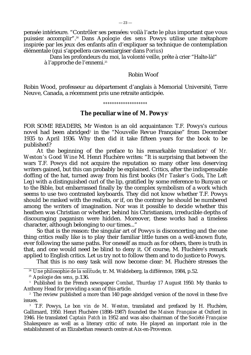pensée intérieure. "Contrôler ses pensées: voilà l'acte le plus important que vous puissiez accomplir".24 Dans *Apologie des sens* Powys utilise une métaphore inspirée par les jeux des enfants afin d'expliquer sa technique de contemplation élémentale (qui s'appellera cavoseniargiser dans *Porius*)

Dans les profondeurs du moi, la volonté veille, prête à crier "Halte-là!" à l'approche de l'ennemi.<sup>25</sup>

Robin Woof

Robin Wood, professeur au département d'anglais à Memorial Université, Terre Neuve, Canada, a récemment pris une retraite anticipée.

*°°°°°°°°°°°°°°°°°°°°*

#### **The peculiar wine of M. Powys**<sup>1</sup>

FOR SOME READERS, Mr Weston is an old acquaintance: T.F. Powys's curious novel had been abridged<sup>2</sup> in the "Nouvelle Revue Française" from December 1935 to April 1936. Why then did it take fifteen years for the book to be published?

At the beginning of the preface to his remarkable translation<sup>3</sup> of *Mr. Weston's Good Wine* M. Henri Fluchère writes: "It is surprising that between the wars T.F. Powys did not acquire the reputation so many other less deserving writers gained, but this can probably be explained. Critics, after the indispensable doffing of the hat, turned away from his first books (*Mr Tasker's Gods*, *The Left Leg*) with a distinguished curl of the lip, gratified by some reference to Bunyan or to the Bible, but embarrassed finally by the complex symbolism of a work which seems to use two contrasted keyboards. They did not know whether T.F. Powys should be ranked with the realists, or if, on the contrary he should be numbered among the writers of imagination. Nor was it possible to decide whether this heathen was Christian or whether, behind his Christianism, irreducible depths of discouraging paganism were hidden. Moreover, these works had a timeless character, although belonging to our times..."

So that is the reason: the singular art of Powys is disconcerting and the one thing critics really like is to play their familiar little tunes on a well-known flute, ever following the same paths. For oneself as much as for others, there is truth in that, and one would need be blind to deny it. Of course, M. Fluchère's remark applied to English critics. Let us try not to follow them and to do justice to Powys.

That this is no easy task will now become clear: M. Fluchère stresses the

<sup>24</sup> *Une philosophie de la solitude*, tr. M. Waldeberg, la différence, 1984, p.52.

<sup>25</sup> *Apologie des sens,* p.136.

<sup>1</sup> Published in the French newspaper *Combat*, Thurday 17 August 1950. My thanks to Anthony Head for providing a scan of this article.

<sup>2</sup> The review published a more than 140 page abridged version of the novel in these five issues.

<sup>3</sup> T.F. Powys, *Le bon vin de M. Weston*, translated and prefaced by H. Fluchère, Gallimard, 1950. Henri Fluchère (1898–1987) founded the *Maison Française* at Oxford in 1946. He translated *Captain Patch* in 1952 and was also chairman of the *Société Française Shakespeare* as well as a literary critic of note. He played an important role in the establishment of an Elizabethan research centre at Aix-en-Provence.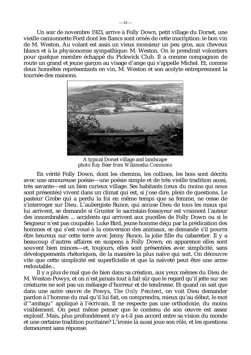Un soir de novembre 1923, arrive à Folly Down, petit village du Dorset, une vieille camionnette Ford dont les flancs sont ornés de cette inscription: le bon vin de M. Weston. Au volant est assis un vieux monsieur un peu gros, aux cheveux blancs et à la physionomie sympathique: M. Weston. On le prendrait volontiers pour quelque membre échappé du Pickwick Club. Il a comme compagnon de route un grand et jeune garçon au visage d'ange qui s'appelle Michel. Et, comme deux honnêtes représentants en vin, M. Weston et son acolyte entreprennent la tournée des maisons.



A typical Dorset village and landscape *photo Ray Beer from Wikimedia Commons*

En vérité Folly Down, dont les chemins, les collines, les bois sont décrits avec une amoureuse poésie—une poésie simple et de très vieille tradition aussi, très savante—est un bien curieux village. Ses habitants (ceux du moins qui nous sont présentés) vivent dans un climat qui est, si j'ose dire, plein de questions. Le pasteur Grobe qui a perdu la foi en même temps que sa femme, ne cesse de s'interroger sur Dieu. L'aubergiste Bunce, qui accuse Dieu de tous les maux qui lui arrivent, se demande si Grunter le sacristain-fossoyeur est vraiment l'auteur des innombrables ... accidents qui arrivent aux pucelles de Folly Down ou si le Seigneur n'est pas coupable. Luke Bird, jeune homme déçu par la prédication des hommes et qui s'est voué à la conversion des animaux, se demande s'il pourra être heureux sur cette terre avec Jenny Bunce, la jolie fille du cabaretier. Il y a beaucoup d'autres affaires en suspens à Folly Down; en apparence elles sont souvent bien minces—et, toujours, elles sont présentées avec simplicité, sans développements rhétoriques, de la manière la plus naïve qui soit. On découvre vite que cette simplicité est superficielle et que la naïveté peut être une arme redoutable...

Il y a plus de mal que de bien dans sa création, aux yeux mêmes du Dieu de M. Weston-Powys, et on n'est jamais tout à fait sûr que le regard qu'il jette sur ses créatures ne soit pas un mélange d'horreur et de tendresse. Et quand on sait que dans une autre œuvre de Powys, *The Only Penitent*, on voit Dieu demander pardon à l'homme du mal qu'il lui fait, on comprendra, mieux qu'au début, le mot d'"ambigu" appliqué à l'écrivain. Il ne respecte pas une orthodoxie, du moins visiblement. On peut même penser que le contenu de son œuvre est assez explosif. Mais, plus profondément n'y a-t-il pas accord entre sa vision du monde et une certaine tradition puritaine? L'ironie là aussi joue son rôle, et les questions demeurent sans réponse.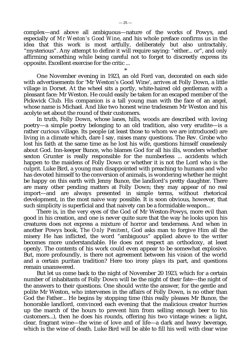complex—and above all ambiguous—nature of the works of Powys, and especially of *Mr Weston's Good Wine*, and his whole preface confirms us in the idea that this work is most artfully, deliberately but also untractably, "mysterious". Any attempt to define it will require saying: "either... or", and only affirming something while being careful not to forget to discreetly express its opposite. Excellent exercise for the critic ...

\* One November evening in 1923, an old Ford van, decorated on each side with advertisements for 'Mr Weston's Good Wine', arrives at Folly Down, a little village in Dorset. At the wheel sits a portly, white-haired old gentleman with a pleasant face: Mr Weston. He could easily be taken for an escaped member of the Pickwick Club. His companion is a tall young man with the face of an angel, whose name is Michael. And like two honest wine tradesmen Mr Weston and his acolyte set about the round of their customers.

In truth, Folly Down, whose lanes, hills, woods are described with loving poetry—a simple poetry belonging to an old tradition, also very erudite—is a rather curious village. Its people (at least those to whom we are introduced) are living in a climate which, dare I say, raises many questions. The Rev. Grobe who lost his faith at the same time as he lost his wife, questions himself ceaselessly about God. Inn-keeper Bunce, who blames God for all his ills, wonders whether sexton Grunter is really responsible for the numberless ... accidents which happen to the maidens of Folly Down or whether it is not the Lord who is the culprit. Luke Bird, a young man disappointed with preaching to humans and who has devoted himself to the conversion of animals, is wondering whether he might be happy on this earth with Jenny Bunce, the landlord's pretty daughter. There are many other pending matters at Folly Down; they may appear of no real import—and are always presented in simple terms, without rhetorical development, in the most naive way possible. It is soon obvious, however, that such simplicity is superficial and that naivety can be a formidable weapon...

There is, in the very eyes of the God of Mr Weston-Powys, more evil than good in his creation, and one is never quite sure that the way he looks upon his creatures does not express a mixture of horror and tenderness. And when in another Powys book, *The Only Penitent*, God asks man to forgive Him all the misery He has inflicted, the word "ambiguous" applied above to the writer becomes more understandable. He does not respect an orthodoxy, at least openly. The contents of his work could even appear to be somewhat explosive. But, more profoundly, is there not agreement between his vision of the world and a certain puritan tradition? Here too irony plays its part, and questions remain unanswered.

But let us come back to the night of November 20 1923, which for a certain number of inhabitants of Folly Down will be the night of their fate—the night of the answers to their questions. One should write the answer, for the gentle and polite Mr Weston, who intervenes in the affairs of Folly Down, is no other than God the Father... He begins by stopping time (this really pleases Mr Bunce, the honorable landlord, convinced each evening that the malicious creator hurries up the march of the hours to prevent him from selling enough beer to his customers...), then he does his rounds, offering his two vintage wines: a light, clear, fragrant wine—the wine of love and of life—a dark and heavy beverage, which is the wine of death. Luke Bird will be able to fill his well with clear wine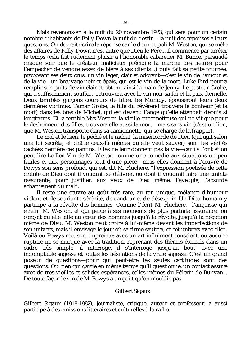Mais revenons-en à la nuit du 20 novembre 1923, qui sera pour un certain nombre d'habitants de Folly Down la nuit du destin—la nuit des réponses à leurs questions. On devrait écrire la réponse car le doux et poli M. Weston, qui se mêle des affaires de Folly Down n'est autre que Dieu le Père... Il commence par arrêter le temps (cela fait rudement plaisir à l'honorable cabaretier M. Bunce, persuadé chaque soir que le créateur malicieux précipite la marche des heures pour l'empêcher de vendre assez de bière à ses clients...) puis fait sa petite tournée, proposant ses deux crus: un vin léger, clair et odorant—c'est le vin de l'amour et de la vie—un breuvage noir et épais, qui est le vin de la mort. Luke Bird pourra remplir son puits de vin clair et obtenir ainsi la main de Jenny. Le pasteur Grobe, qui a suffisamment souffert, retrouvera avec le vin noir sa foi et la paix éternelle. Deux terribles garçons coureurs de filles, les Mumby, épouseront leurs deux dernières victimes. Tamar Grobe, la fille du révérend trouvera le bonheur (et la mort) dans les bras de Michel, qui est devenu l'ange qu'elle attendait depuis si longtemps. Et la terrible Mrs Vosper, la vieille entremetteuse qui ne vit que pour le déshonneur des filles, trouvera elle aussi la mort—mais sans vin (c'est un lion, que M. Weston transporte dans sa camionnette, qui se charge de la frapper).

Le mal et le bien, le péché et le rachat, la miséricorde de Dieu (qui agit selon une loi secrète, et châtie ceux-là mêmes qu'elle veut sauver) sont les vérités cachées derrière ces pantins. Elles ne leur donnent pas la vie—car ils l'ont et on peut lire *Le Bon Vin de M. Weston* comme une comédie aux situations un peu faciles et aux personnages tout d'une pièce—mais elles donnent à l'œuvre de Powys son sens profond, qui est, dit M. Fluchère, "l'expression poétisée de cette crainte de Dieu dont il voudrait se délivrer, ou dont il voudrait faire une crainte rassurante, pour justifier, aux yeux de Dieu même, l'aveugle, l'absurde acharnement du mal".

Il reste une œuvre au goût très rare, au ton unique, mélange d'humour violent et de souriante sérénité, de candeur et de désespoir. Un Dieu humain y participe à la révolte des hommes. Comme l'écrit M. Fluchère, "l'angoisse qui étreint M. Weston, et qui perce à ses moments de plus parfaite assurance, on conçoit qu'elle aille au cœur des hommes jusqu'à la révolte, jusqu'à la négation même de Dieu. M. Weston peut croire à lui-même devant les imperfections de son univers, mais il envisage le jour où sa firme sautera, et cet univers avec elle". Voilà où Powys met son empreinte: avec un art infiniment conscient, où aucune rupture ne se marque avec la tradition, reprenant des thèmes éternels dans un cadre très simple, il interroge, il s'interroge—jusqu'au bout, avec une indomptable sagesse et toutes les hésitations de la vraie sagesse. C'est un grand poseur de questions—pour qui peut-être les seules certitudes sont des questions. Ou bien qui garde en même temps qu'il questionne, un contact assuré avec de très vieilles et solides espérances, celles mêmes du Pèlerin de Bunyan... De toute façon le vin de M. Powys a un goût qu'on n'oublie pas.

#### Gilbert Sigaux

Gilbert Sigaux (1918-1982), journaliste, critique, auteur et professeur, a aussi participé à des émissions littéraires et culturelles à la radio.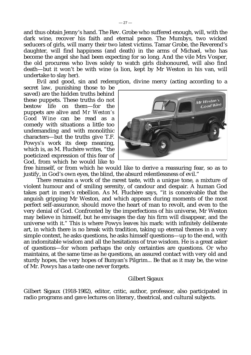and thus obtain Jenny's hand. The Rev. Grobe who suffered enough, will, with the dark wine, recover his faith and eternal peace. The Mumbys, two wicked seducers of girls, will marry their two latest victims. Tamar Grobe, the Reverend's daughter, will find happiness (and death) in the arms of Michael, who has become the angel she had been expecting for so long. And the vile Mrs Vosper, the old procuress who lives solely to watch girls dishonoured, will also find death—but it won't be with wine (a lion, kept by Mr Weston in his van, will undertake to slay her).

Evil and good, sin and redemption, divine mercy (acting according to a

secret law, punishing those to be saved) are the hidden truths behind these puppets. These truths do not bestow life on them—for the puppets are alive and *Mr Weston's Good Wine* can be read as a comedy with situations a little too undemanding and with monolithic characters—but the truths give T.F. Powys's work its deep meaning, which is, as M. Fluchère writes, "the poeticized expression of this fear of God, from which he would like to



free himself, or from which he would like to derive a reassuring fear, so as to justify, in God's own eyes, the blind, the absurd relentlessness of evil."

There remains a work of the rarest taste, with a unique tone, a mixture of violent humour and of smiling serenity, of candour and despair. A human God takes part in men's rebellion. As M. Fluchère says, "it is conceivable that the anguish gripping Mr Weston, and which appears during moments of the most perfect self-assurance, should move the heart of man to revolt, and even to the very denial of God. Confronted by the imperfections of his universe, Mr Weston may believe in himself, but he envisages the day his firm will disappear, and the universe with it." This is where Powys leaves his mark: with infinitely deliberate art, in which there is no break with tradition, taking up eternal themes in a very simple context, he asks questions, he asks himself questions—up to the end, with an indomitable wisdom and all the hesitations of true wisdom. He is a great asker of questions—for whom perhaps the only certainties are questions. Or who maintains, at the same time as he questions, an assured contact with very old and sturdy hopes, the very hopes of Bunyan's Pilgrim... Be that as it may be, the wine of Mr. Powys has a taste one never forgets.

## Gilbert Sigaux

Gilbert Sigaux (1918-1982), editor, critic, author, professor, also participated in radio programs and gave lectures on literary, theatrical, and cultural subjects.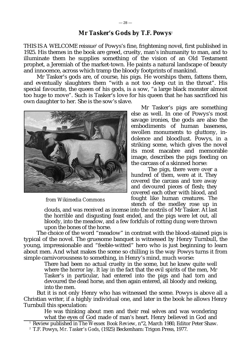## *Mr Tasker's Gods* **by T.F. Powys**<sup>1</sup>

THIS IS A WELCOME reissue<sup>2</sup> of Powys's fine, frightening novel, first published in 1925. His themes in the book are greed, cruelty, man's inhumanity to man, and to illuminate them he supplies something of the vision of an Old Testament prophet, a Jeremiah of the market-town. He paints a natural landscape of beauty and innocence, across which tramp the bloody footprints of mankind.

Mr Tasker's gods are, of course, his pigs. He worships them, fattens them, and eventually slaughters them "with a not too deep cut in the throat". His special favourite, the queen of his gods, is a sow, "a large black monster almost too huge to move". Such is Tasker's love for his queen that he has sacrificed his own daughter to her. She is the sow's slave.



*from Wikimedia Commons*

Mr Tasker's pigs are something else as well. In one of Powys's most savage ironies, the gods are also the embodiments of human baseness, swollen monuments to gluttony, indolence and bloodlust. Powys, in a striking scene, which gives the novel its most macabre and memorable image, describes the pigs feeding on the carcass of a skinned horse:

 The pigs, there were over a hundred of them, were at it. They covered the carcass and tore away and devoured pieces of flesh; they covered each other with blood, and fought like human creatures. The stench of the medley rose up in

clouds, and was received as incense into the nostrils of Mr Tasker. At last the horrible and disgusting feast ended, and the pigs were let out, all bloody, into the meadow, and a few forkfuls of rotting dung were thrown upon the bones of the horse.

The choice of the word "meadow" in contrast with the blood-stained pigs is typical of the novel. The gruesome banquet is witnessed by Henry Turnbull, the young, impressionable and "feeble-witted" hero who is just beginning to learn about men. And what makes the scene so chilling is the way Powys turns it from simple carnivorousness to something, in Henry's mind, much worse:

> There had been no actual cruelty in the scene, but he knew quite well where the horror lay. It lay in the fact that the evil spirits of the men, Mr Tasker's in particular, had entered into the pigs and had torn and devoured the dead horse, and then again entered, all bloody and reeking, into the men.

But it is not only Henry who has witnessed the scene. Powys is above all a Christian writer, if a highly individual one, and later in the book he allows Henry Turnbull this speculation:

He was thinking about men and their real selves and was wondering what the eyes of God made of man's heart. Henry believed in God and

<sup>1</sup> Review published in *The Wessex Book Review*, n°2, March 1980, Editor Peter Shaw.

<sup>2</sup> T.F. Powys, *Mr. Tasker's Gods*, (1925) Beckenham: Trigon Press, 1977.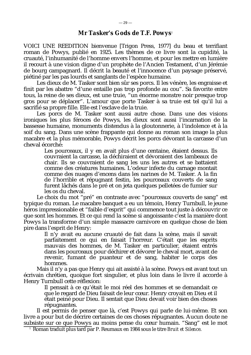VOICI UNE REEDITION bienvenue [Trigon Press, 1977] du beau et terrifiant roman de Powys, publié en 1925. Les thèmes de ce livre sont la cupidité, la cruauté, l'inhumanité de l'homme envers l'homme, et pour les mettre en lumière il recourt à une vision digne d'un prophète de l'Ancien Testament, d'un Jérémie de bourg campagnard. Il décrit la beauté et l'innocence d'un paysage préservé, piétiné par les pas lourds et sanglants de l'espèce humaine.

Les dieux de M. Tasker sont bien sûr ses porcs. Il les vénère, les engraisse et finit par les abattre "d'une entaille pas trop profonde au cou". Sa favorite entre tous, la reine de ses dieux, est une truie, "un énorme monstre noir presque trop gros pour se déplacer". L'amour que porte Tasker à sa truie est tel qu'il lui a sacrifié sa propre fille. Elle est l'esclave de la truie.

Les porcs de M. Tasker sont aussi autre chose. Dans une des visions ironiques les plus féroces de Powys, les dieux sont aussi l'incarnation de la bassesse humaine, monuments distendus à la gloutonnerie, à l'indolence et à la soif du sang. Dans une scène frappante qui donne au roman son image la plus macabre et la plus mémorable, Powys décrit les porcs dévorant la carcasse d'un cheval écorché:

Les pourceaux, il y en avait plus d'une centaine, étaient dessus. Ils couvraient la carcasse, la déchiraient et dévoraient des lambeaux de chair. Ils se couvraient de sang les uns les autres et se battaient comme des créatures humaines. L'odeur infecte du carnage montait comme des nuages d'encens dans les narines de M. Tasker. A la fin de l'horrible et répugnant festin, les pourceaux couverts de sang furent lâchés dans le pré et on jeta quelques pelletées de fumier sur les os du cheval.

Le choix du mot "pré" en contraste avec "pourceaux couverts de sang" est typique du roman. Le macabre banquet a eu un témoin, Henry Turnbull, le jeune héros impressionable et "faible d'esprit" qui commence tout juste à découvrir ce que sont les hommes. Et ce qui rend la scène si angoissante c'est la manière dont Powys la transforme d'un simple massacre carnivore en quelque chose de bien pire dans l'esprit de Henry:

Il n'y avait eu aucune cruauté de fait dans la scène, mais il savait parfaitement ce qui en faisait l'horreur. C'était que les esprits mauvais des hommes, de M. Tasker en particulier, étaient entrés dans les pourceaux pour déchirer et dévorer le cheval mort, avant de revenir, fumant de puanteur et de sang, habiter le corps des hommes.

Mais il n'y a pas que Henry qui ait assisté à la scène. Powys est avant tout un écrivain chrétien, quoique fort singulier, et plus loin dans le livre il accorde à Henry Turnbull cette réflexion:

Il pensait à ce qu'était le moi réel des hommes et se demandait ce que le regard de Dieu faisait de leur cœur. Henry croyait en Dieu et il était peiné pour Dieu. Il sentait que Dieu devait voir bien des choses répugnantes.

Il est permis de penser que là, c'est Powys qui parle de lui-même. Et son livre a pour but de décrire certaines de ces choses répugnantes. Aucun doute ne subsiste sur ce que Powys au moins pense du cœur humain. "Sang" est le mot

<sup>1</sup> Roman traduit plus tard par P. Reumaux en 1984 sous le titre *Bruit et Silence*.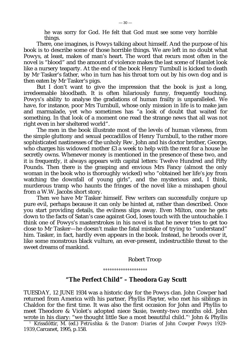he was sorry for God. He felt that God must see some very horrible things.

There, one imagines, is Powys talking about himself. And the purpose of his book is to describe some of those horrible things. We are left in no doubt what Powys, at least, makes of man's heart. The word that recurs most often in the novel is "blood" and the amount of violence makes the last scene of Hamlet look like a nursery teaparty. At the end of the book Henry Turnbull is kicked to death by Mr Tasker's father, who in turn has his throat torn out by his own dog and is then eaten by Mr Tasker's pigs.

But I don't want to give the impression that the book is just a long, irredeemable bloodbath. It is often hilariously funny, frequently touching. Powys's ability to analyse the gradations of human frailty is unparalleled. We have, for instance, poor Mrs Turnbull, whose only mission in life is to make jam and marmalade, yet who sometimes has "a look of doubt that waited for something. In that look of a moment one read the strange news that all was not right even in her sheltered world".

The men in the book illustrate most of the levels of human vileness, from the simple gluttony and sexual peccadillos of Henry Turnbull, to the rather more sophisticated nastinesses of the unholy Rev. John and his doctor brother, George, who charges his widowed mother £3 a week to help with the rent for a house he secretly owns. Whenever money is mentioned in the presence of these two, and it is frequently, it always appears with capital letters: Twelve Hundred and Fifty Pounds. Then there is the grasping and envious Mrs Fancy (almost the only woman in the book who is thoroughly wicked) who "obtained her life's joy from watching the downfall of young girls", and the mysterious and, I think, murderous tramp who haunts the fringes of the novel like a misshapen ghoul from a W.W. Jacobs short story.

Then we have Mr Tasker himself. Few writers can successfully conjure up pure evil, perhaps because it can only be hinted at, rather than described. Once you start providing details, the evilness slips away. Even Milton, once he gets down to the facts of Satan's case against God, loses touch with the untouchable. I think one of Powys's masterstrokes in his novel is that he never tries to get too close to Mr Tasker—he doesn't make the fatal mistake of trying to "understand" him. Tasker, in fact, hardly even appears in the book. Instead, he broods over it, like some monstrous black vulture, an ever-present, indestructible threat to the sweet dreams of mankind.

#### Robert Troop

*°°°°°°°°°°°°°°°°°°°°*

## **"The Perfect Child" – Theodora Gay Scutt**

TUESDAY, 12 JUNE 1934 was a historic day for the Powys clan. John Cowper had returned from America with his partner, Phyllis Playter, who met his siblings in Chaldon for the first time. It was also the first occasion for John and Phyllis to meet Theodore & Violet's adopted niece Susie, twenty-two months old. John wrote in his diary: "we thought little Sue a most beautiful child."<sup>1</sup> John & Phyllis

<sup>1</sup> Krissdóttir, M. (ed.) *Petrushka & the Dancer: Diaries of John Cowper Powys 1929- 1939,*Carcanet, 1995, p.158.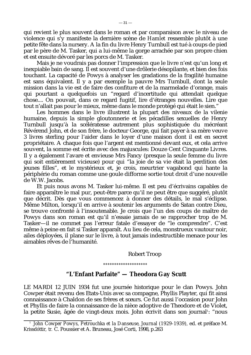qui revient le plus souvent dans le roman et par comparaison avec le niveau de violence qui s'y manifeste la dernière scène de *Hamlet* ressemble plutôt à une petite fête dans la nursery. A la fin du livre Henry Turnbull est tué à coups de pied par le père de M. Tasker, qui a lui-même la gorge arrachée par son propre chien et est ensuite dévoré par les porcs de M. Tasker.

Mais je ne voudrais pas donner l'impression que le livre n'est qu'un long et inexpiable bain de sang. Il est souvent d'une drôlerie désopilante, et bien des fois touchant. La capacité de Powys à analyser les gradations de la fragilité humaine est sans équivalent. Il y a par exemple la pauvre Mrs Turnbull, dont la seule mission dans la vie est de faire des confiture et de la marmelade d'orange, mais qui pourtant a quelquefois un "regard d'incertitude qui attendait quelque chose.... On pouvait, dans ce regard fugitif, lire d'étranges nouvelles. Lire que tout n'allait pas pour le mieux, même dans le monde protégé qui était le sien."

Les hommes dans le livre illustrent la plupart des niveaux de la vilenie humaine, depuis la simple gloutonnerie et les pécadilles sexuelles de Henry Turnbull jusqu'à la scélératesse autrement plus sophistiquée du mécréant Révérend John, et de son frère, le docteur George, qui fait payer à sa mère veuve 3 livres sterling pour l'aider dans le loyer d'une maison dont il est en secret propriétaire. A chaque fois que l'argent est mentionné devant eux, et cela arrive souvent, la somme est écrite avec des majuscules: Douze Cent Cinquante Livres. Il y a également l'avare et envieuse Mrs Fancy (presque la seule femme du livre qui soit entièrement vicieuse) pour qui "la joie de sa vie était la perdition des jeunes filles", et le mystérieux et, je crois, meurtrier vagabond qui hante la périphérie du roman comme une goule difforme sortie tout droit d'une nouvelle de W.W. Jacobs.

Et puis nous avons M. Tasker lui-même. Il est peu d'écrivains capables de faire apparaître le mal pur, peut-être parce qu'il ne peut être que suggéré, plutôt que décrit. Dès que vous commencez à donner des détails, le mal s'éclipse. Même Milton, lorsqu'il en arrive à soutenir les arguments de Satan contre Dieu, se trouve confronté à l'insoutenable. Je crois que l'un des coups de maître de Powys dans son roman est qu'il n'essaie jamais de se rapprocher trop de M. Tasker—il ne commet pas l'erreur fatale d'essayer de "le comprendre". C'est même à peine en fait si Tasker apparaît. Au lieu de cela, monstrueux vautour noir, ailes déployées, il plane sur le livre, à tout jamais indestructible menace pour les aimables rêves de l'humanité.

## Robert Troop

*°°°°°°°°°°°°°°°°°°°°*

## **"L'Enfant Parfaite" — Theodora Gay Scutt**

LE MARDI 12 JUIN 1934 fut une journée historique pour le clan Powys. John Cowper était revenu des Etats-Unis avec sa compagne, Phyllis Playter, qui fit ainsi connaissance à Chaldon de ses frères et sœurs. Ce fut aussi l'occasion pour John et Phyllis de faire la connaissance de la nièce adoptive de Theodore et de Violet, la petite Susie, âgée de vingt-deux mois. John écrivit dans son journal<sup>1</sup>: "nous

<sup>1</sup> *John Cowper Powys, Petrouchka et la Danseuse, Journal (1929-1939),* ed. et préface M. Krissdóttir*,* tr*.* C. Poussier et A. Bruneau, José Corti, 1998, p.263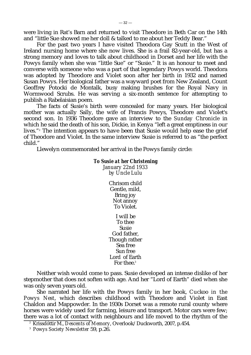were living in Rat's Barn and returned to visit Theodore in Beth Car on the 14th and "little Sue showed me her doll & talked to me about her Teddy Bear."

For the past two years I have visited Theodora Gay Scutt in the West of Ireland nursing home where she now lives. She is a frail 82-year-old, but has a strong memory and loves to talk about childhood in Dorset and her life with the Powys family when she was "little Sue" or "Susie." It is an honour to meet and converse with someone who was a part of that legendary Powys world. Theodora was adopted by Theodore and Violet soon after her birth in 1932 and named Susan Powys. Her biological father was a wayward poet from New Zealand, Count Geoffrey Potocki de Montalk, busy making brushes for the Royal Navy in Wormwood Scrubs. He was serving a six-month sentence for attempting to publish a Rabelaisian poem.

The facts of Susie's birth were concealed for many years. Her biological mother was actually Sally, the wife of Francis Powys, Theodore and Violet's second son. In 1936 Theodore gave an interview to the *Sunday Chronicle* in which he said the death of his son, Dickie, in Kenya "left a great emptiness in our lives."<sup>2</sup> The intention appears to have been that Susie would help ease the grief of Theodore and Violet. In the same interview Susie is referred to as "the perfect child."

Llewelyn commemorated her arrival in the Powys family circle:

#### *To Susie at her Christening*

*January 22nd 1933 by Uncle Lulu*

> Chrisom child Gentle, mild, Bring joy Not annoy To Violet. I will be To thee Susie God father, Though rather Sea free Sun free Lord of Earth

Neither wish would come to pass. Susie developed an intense dislike of her stepmother that does not soften with age. And her "Lord of Earth" died when she was only seven years old.

For thee  $3$ 

She narrated her life with the Powys family in her book, *Cuckoo in the Powys Nest*, which describes childhood with Theodore and Violet in East Chaldon and Mappowder. In the 1930s Dorset was a remote rural county where horses were widely used for farming, leisure and transport. Motor cars were few; there was a lot of contact with neighbours and life moved to the rhythm of the

<sup>2</sup> Krissdóttir M., *Descents of Memory*, Overlook/Duckworth, 2007, p.454.

<sup>3</sup> *Powys Society Newsletter* 59, p.26.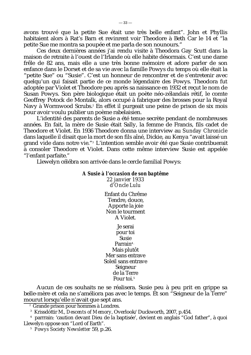avons trouvé que la petite Sue était une très belle enfant". John et Phyllis habitaient alors à Rat's Barn et revinrent voir Theodore à Beth Car le 14 et "la petite Sue me montra sa poupée et me parla de son nounours."

Ces deux dernières années j'ai rendu visite à Theodora Gay Scutt dans la maison de retraite à l'ouest de l'Irlande où elle habite désormais. C'est une dame frêle de 82 ans, mais elle a une très bonne mémoire et adore parler de son enfance dans le Dorset et de sa vie avec la famille Powys du temps où elle était la "petite Sue" ou "Susie". C'est un honneur de rencontrer et de s'entretenir avec quelqu'un qui faisait partie de ce monde légendaire des Powys. Theodora fut adoptée par Violet et Theodore peu après sa naissance en 1932 et reçut le nom de Susan Powys. Son père biologique était un poète néo-zélandais rétif, le comte Geoffrey Potock de Montalk, alors occupé à fabriquer des brosses pour la Royal Navy à Wormwood Scrubs.<sup>2</sup> En effet il purgeait une peine de prison de six mois pour avoir voulu publier un poème rabelaisien.

L'identité des parents de Susie a été tenue secrète pendant de nombreuses années. En fait, la mère de Susie était Sally, la femme de Francis, fils cadet de Theodore et Violet. En 1936 Theodore donna une interview au *Sunday Chronicle* dans laquelle il disait que la mort de son fils aîné, Dickie, au Kenya "avait laissé un grand vide dans notre vie."<sup>3</sup> L'intention semble avoir été que Susie contribuerait à consoler Theodore et Violet. Dans cette même interview Susie est appelée "l'enfant parfaite."

Llewelyn célébra son arrivée dans le cercle familial Powys:

## *A Susie à l'occasion de son baptême 22 janvier 1933 d'Oncle Lulu*

Enfant du Chrême Tendre, douce, Apporte la joie Non le tourment A Violet.

Je serai pour toi Susie Parrain<sup>4</sup> Mais plutôt Mer sans entrave Soleil sans entrave Seigneur de la Terre Pour toi.<sup>5</sup>

Aucun de ces souhaits ne se réalisera. Susie peu à peu prit en grippe sa belle-mère et cela ne s'améliora pas avec le temps. Et son "Seigneur de la Terre" mourut lorsqu'elle n'avait que sept ans.

<sup>2</sup> Grande prison pour hommes à Londres.

<sup>3</sup> Krissdóttir M., *Descents of Memory*, Overlook/Duckworth, 2007, p.454.

<sup>4</sup> parrrain: 'caution devant Dieu de la baptisée', devient en anglais "God father", à quoi Llewelyn oppose son "Lord of Earth".

<sup>5</sup> *Powys Society Newsletter* 59, p.26.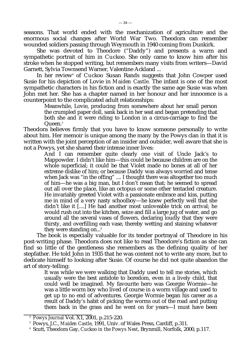seasons. That world ended with the mechanization of agriculture and the enormous social changes after World War Two. Theodora can remember wounded soldiers passing through Weymouth in 1940 coming from Dunkirk.

She was devoted to Theodore ("Daddy") and presents a warm and sympathetic portrait of him in *Cuckoo*. She only came to know him after his stroke when he stopped writing, but remembers many visits from writers—David Garnett, Sylvia Townsend Warner, Valentine Ackland ...

In her review<sup>4</sup> of *Cuckoo* Susan Rands suggests that John Cowper used Susie for his depiction of Lovie in *Maiden Castle.* The infant is one of the most sympathetic characters in his fiction and is exactly the same age Susie was when John met her. She has a chapter named in her honour and her innocence is a counterpoint to the complicated adult relationships:

Meanwhile, Lovie, producing from somewhere about her small person the crumpled paper doll, sank back in her seat and began pretending that both she and it were riding to London in a circus-carriage to find the Queen.<sup>5</sup>

Theodora believes firmly that you have to know someone personally to write about him. Her memoir is unique among the many by the Powys clan in that it is written with the joint perception of an insider and outsider, well aware that she is not a Powys, yet she shared their intense inner lives:

And I can remember quite clearly one visit of Uncle Jack's to Mappowder. I didn't like him—this could be because children are on the whole superficial; it could be that Violet made no bones at all of her extreme dislike of him; or because Daddy was always worried and tense when Jack was "in the offing" .... I thought there was altogether too much of him—he was a big man, but I don't mean that; he seemed to spread out all over the place, like an octopus or some other tentacled creature. He invariably greeted Violet with a passionate embrace and kiss, putting me in mind of a very nasty schoolboy—he knew perfectly well that she didn't like it [....] He had another most unloveable trick on arrival; he would rush out into the kitchen, seize and fill a large jug of water, and go around all the several vases of flowers, declaring loudly that they were thirsty, and overfilling each vase, thereby wetting and staining whatever they were standing on... $\delta$ 

The book is especially valuable for its tender portrayal of Theodore in his post-writing phase. Theodora does not like to read Theodore's fiction as she can find so little of the gentleness she remembers as the defining quality of her stepfather. He told John in 1935 that he was content not to write any more, but to dedicate himself to looking after Susie. Of course he did not quite abandon the art of story-telling:

It was while we were walking that Daddy used to tell me stories, which usually were the best antidote to boredom, even in a lively child, that could well be imagined. My favourite hero was Georgie Wormie—he was a little worm boy who lived of course in a worm village and used to get up to no end of adventures. Georgie Wormie began his career as a result of Daddy's habit of picking the worms out of the road and putting them back in the grass and he went on for years—I must have been

<sup>4</sup> *Powys Journal* Vol. X1, 2001, p.215-220.

<sup>5</sup> Powys, J.C., *Maiden Castle*, 1991, Univ. of Wales Press, Cardiff, p.311.

<sup>6</sup> Scutt, Theodora Gay, *Cuckoo in the Powys Nest*, Brynmill, Norfolk, 2000, p.117.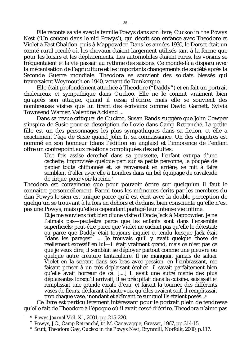Elle raconta sa vie avec la famille Powys dans son livre, *Cuckoo in the Powys Nest* ('Un coucou dans le nid Powys'), qui décrit son enfance avec Theodore et Violet à East Chaldon, puis à Mappowder. Dans les années 1930, le Dorset était un comté rural reculé où les chevaux étaient largement utilisés tant à la ferme que pour les loisirs et les déplacements. Les automobiles étaient rares, les voisins se fréquentaient et la vie passait au rythme des saisons. Ce monde-là a disparu avec la mécanisation de l'agriculture et les importants changements de société après la Seconde Guerre mondiale. Theodora se souvient des soldats blessés qui traversaient Weymouth en 1940, venant de Dunkerque.

Elle était profondément attachée à Theodore ("Daddy") et en fait un portrait chaleureux et sympathique dans *Cuckoo*. Elle ne le connut vraiment bien qu'après son attaque, quand il cessa d'écrire, mais elle se souvient des nombreuses visites que lui firent des écrivains comme David Garnett, Sylvia Townsend Warner, Valentine Ackland ...

Dans sa revue critique<sup>6</sup> de *Cuckoo*, Susan Rands suggère que John Cowper s'inspira de Susie pour sa description de Lovie dans *Camp Retranché*. La petite fille est un des personnages les plus sympathiques dans sa fiction, et elle a exactement l'âge de Susie quand John fit sa connaissance. Un des chapitres est nommé en son honneur (dans l'édition en anglais) et l'innocence de l'enfant offre un contrepoint aux relations compliquées des adultes:

Une fois assise derechef dans sa poussette, l'enfant extirpa d'une cachette, improvisée quelque part sur sa petite personne, la poupée de papier toute chiffonnée et, se renversant en arrière, se mit à faire semblant d'aller avec elle à Londres dans un bel équipage de cavalcade de cirque, pour voir la reine.<sup>7</sup>

Theodora est convaincue que pour pouvoir écrire sur quelqu'un il faut le connaître personnellement. Parmi tous les mémoires écrits par les membres du clan Powys le sien est unique parce qu'il est écrit avec la double perception de quelqu'un se trouvant à la fois en dehors et dedans, bien consciente qu'elle n'est pas une Powys, mais qu'elle a cependant partagé leur intense vie intime.

Et je me souviens fort bien d'une visite d'Oncle Jack à Mappowder. Je ne l'aimais pas—peut-être parce que les enfants sont dans l'ensemble superficiels; peut-être parce que Violet ne cachait pas qu'elle le détestait; ou parce que Daddy était toujours inquiet et tendu lorsque Jack était "dans les parages" .... Je trouvais qu'il y avait quelque chose de réellement excessif en lui—il était vraiment grand, mais ce n'est pas ce que je veux dire; il semblait se déployer partout comme une pieuvre ou quelque autre créature tentaculaire. Il ne manquait jamais de saluer Violet en la serrant dans ses bras avec passion, en l'embrassant, me faisant penser à un très déplaisant écolier—il savait parfaitement bien qu'elle avait horreur de ça. [....] Il avait une autre manie des plus déplaisantes lorsqu'il arrivait; il se précipitait dans la cuisine, saisissait et remplissait une grande carafe d'eau, et faisait la tournée des différents vases de fleurs, déclarant à haute voix qu'elles avaient soif, il remplisssait trop chaque vase, inondant et abîmant ce sur quoi ils étaient posés...<sup>8</sup>

Ce livre est particulièrement intéressant pour le portrait plein de tendresse qu'elle fait de Theodore à l'époque où il avait cessé d'écrire. Theodora n'aime pas

<sup>6</sup> *Powys Journal* Vol. X1, 2001, pp.215-220.

<sup>7</sup> Powys, J.C., *Camp Retranché*, tr. M. Canavaggia, Grasset, 1967, pp.314-15.

<sup>8</sup> Scutt, Theodora Gay, *Cuckoo in the Powys Nest*, Brynmill, Norfolk, 2000, p.117.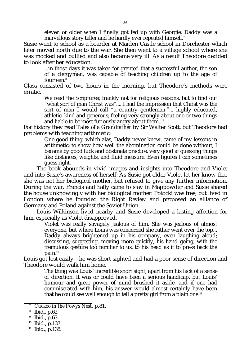eleven or older when I finally got fed up with Georgie. Daddy was a marvellous story teller and he hardly ever repeated himself.<sup>7</sup>

Susie went to school as a boarder at Maiden Castle school in Dorchester which later moved north due to the war. She then went to a village school where she was mocked and bullied and also became very ill. As a result Theodore decided to look after her education.

...in those days it was taken for granted that a successful author, the son of a clergyman, was capable of teaching children up to the age of fourteen.<sup>8</sup>

Class consisted of two hours in the morning, but Theodore's methods were erratic.

We read the Scriptures; frankly not for religious reasons, but to find out "what sort of man Christ was".... I had the impression that Christ was the sort of man I would call "a country gentleman,"... highly educated, athletic, kind and generous; feeling very strongly about one or two things and liable to be most furiously angry about them...<sup>9</sup>

For history they read *Tales of a Grandfather* by Sir Walter Scott, but Theodore had problems with teaching arithmetic:

One good thing, which alas, Daddy never knew, came of my lessons in arithmetic; to show how well the abomination could be done without, I became by good luck and obstinate practice, very good at guessing things like distances, weights, and fluid measure. Even figures I can sometimes guess right.

The book abounds in vivid images and insights into Theodore and Violet and into Susie's awareness of herself. As Susie got older Violet let her know that she was not her biological mother, but refused to give any further information. During the war, Francis and Sally came to stay in Mappowder and Susie shared the house unknowingly with her biological mother. Potocki was free, but lived in London where he founded the *Right Review* and proposed an alliance of Germany and Poland against the Soviet Union.

Louis Wilkinson lived nearby and Susie developed a lasting affection for him, especially as Violet disapproved.

Violet was really savagely jealous of him. She was jealous of almost everyone, but where Louis was concerned she rather went over the top... Daddy always brightened up in his company, even laughing aloud; discussing, suggesting, moving more quickly, his hand going, with the tremulous gesture too familiar to us, to his head as if to press back the pain.<sup>10</sup>

Louis got lost easily—he was short-sighted and had a poor sense of direction and Theodore would walk him home.

> The thing was Louis' incredible short sight, apart from his lack of a sense of direction. It was or could have been a serious handicap, but Louis' humour and great power of mind brushed it aside, and if one had commiserated with him, his answer would almost certainly have been that he could see well enough to tell a pretty girl from a plain one!<sup>11</sup>

 <sup>7</sup> *Cuckoo in the Powys Nest*, p.81.

<sup>8</sup> Ibid., p.62.

<sup>9</sup> Ibid., p.63.

<sup>10</sup> Ibid., p.137.

<sup>11</sup> Ibid., p.138.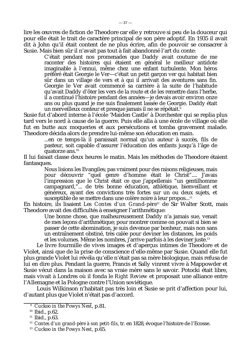lire les œuvres de fiction de Theodore car elle y retrouve si peu de la douceur qui pour elle était le trait de caractère principal de son père adoptif. En 1935 il avait dit à John qu'il était content de ne plus écrire, afin de pouvoir se consacrer à Susie. Mais bien sûr il n'avait pas tout à fait abandonné l'art du conte:

C'était pendant nos promenades que Daddy avait coutume de me raconter des histoires qui étaient en général le meilleur antidote imaginable à l'ennui, même chez une enfant turbulente. Mon héros préféré était Georgie le Ver—c'était un petit garçon ver qui habitait bien sûr dans un village de vers et à qui il arrivait des aventures sans fin. Georgie le Ver avait commencé sa carrière à la suite de l'habitude qu'avait Daddy d'ôter les vers de la route et de les remettre dans l'herbe, il a continué l'histoire pendant des années—je devais avoir environ onze ans ou plus quand je me suis finalement lassée de Georgie. Daddy était un merveilleux conteur et presque jamais il ne se répétait.<sup>9</sup>

Susie fut d'abord interne à l'école 'Maiden Castle' à Dorchester qui se replia plus tard vers le nord à cause de la guerre. Puis elle alla à une école de village où elle fut en butte aux moqueries et aux persécutions et tomba gravement malade. Theodore décida alors de prendre lui-même son éducation en main.

> ...en ce temps-là il paraissait normal qu'un auteur à succès, fils de pasteur, soit capable d'assurer l'éducation des enfants jusqu'à l'âge de quatorze ans. $^{10}$

Il lui faisait classe deux heures le matin. Mais les méthodes de Theodore étaient fantasques.

> Nous lisions les Evangiles; pas vraiment pour des raisons religieuses, mais pour découvrir "quel genre d'homme était le Christ".... J'avais l'impression que le Christ était ce que j'appellerais "un gentilhomme campagnard,"... de très bonne éducation, athlétique, bienveillant et généreux, ayant des convictions très fortes sur un ou deux sujets, et susceptible de se mettre dans une colère noire à leur propos...<sup>11</sup>

En histoire, ils lisaient *Les Contes d'un Grand-père*<sup>12</sup> de Sir Walter Scott, mais Theodore avait des difficultés à enseigner l'arithmétique:

> Une bonne chose, que malheureusement Daddy n'a jamais sue, venait de mes leçons d'arithmétique; pour montrer comme on pouvait si bien se passer de cette abomination, je suis devenue par bonheur, mais non sans un entraînement obstiné, très calée pour deviner les distances, les poids et les volumes. Même les nombres, j'arrive parfois à les deviner juste.<sup>13</sup>

Le livre fourmille de vives images et d'aperçus intimes de Theodore et de Violet, ainsi que de la prise de conscience d'elle-même par Susie. Quand elle fut plus grande Violet lui révéla qu'elle n'était pas sa mère biologique, mais refusa de lui en dire plus. Pendant la guerre, Francis et Sally vinrent vivre à Mappowder et Susie vécut dans la maison avec sa vraie mère sans le savoir. Potocki était libre, mais vivait à Londres où il fonda le *Right Review* et proposait une alliance entre l'Allemagne et la Pologne contre l'Union soviétique.

Louis Wilkinson n'habitait pas très loin et Susie se prit d'affection pour lui, d'autant plus que Violet n'était pas d'accord.

<sup>9</sup> *Cuckoo in the Powys Nest*, p.81.

<sup>10</sup> Ibid., p.62.

 $11$  Ibid., p.63.

<sup>12</sup> *Contes d'un grand-père à son petit-fils*, tr. en 1828, évoque l'histoire de l'Ecosse.

<sup>13</sup> *Cuckoo in the Powys Nest*, p.65.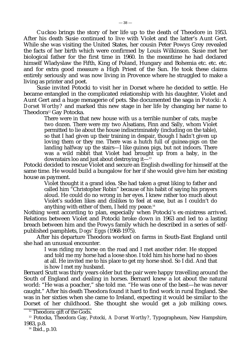*Cuckoo* brings the story of her life up to the death of Theodore in 1953. After his death Susie continued to live with Violet and the latter's Aunt Gert. While she was visiting the United States, her cousin Peter Powys Grey revealed the facts of her birth which were confirmed by Louis Wilkinson. Susie met her biological father for the first time in 1960. In the meantime he had declared himself Wladyslaw the Fifth, King of Poland, Hungary and Bohemia etc. etc. etc. and for extra good measure a High Priest of the Sun. He took these claims entirely seriously and was now living in Provence where he struggled to make a living as printer and poet.

Susie invited Potocki to visit her in Dorset where he decided to settle. He became entangled in the complicated relationship with his daughter, Violet and Aunt Gert and a huge menagerie of pets. She documented the saga in *Potocki: A Dorset Worthy?* and marked this new stage in her life by changing her name to Theodora<sup>12</sup> Gay Potocka.

There were in that new house with us a terrible number of cats, maybe two dozen. There were my two Alsatians, Finn and Sally, whom Violet permitted to lie about the house indiscriminately (including on the table), so that I had given up their training in despair, though I hadn't given up loving them or they me. There was a hutch full of guinea-pigs on the landing halfway up the stairs—I like guinea pigs, but not indoors. There was a wild rabbit that Violet had brought up from a baby, in the downstairs loo and just about destroving it— $13$ 

Potocki decided to rescue Violet and secure an English dwelling for himself at the same time. He would build a bungalow for her if she would give him her existing house as payment.

Violet thought it a grand idea. She had taken a great liking to father and called him "Christopher Robin" because of his habit of saying his prayers aloud. He could do no wrong in her eyes. I knew rather too much about Violet's sudden likes and dislikes to feel at ease, but as I couldn't do anything with either of them, I held my peace.<sup>14</sup>

Nothing went according to plan, especially when Potocki's ex-mistress arrived. Relations between Violet and Potocki broke down in 1963 and led to a lasting breach between him and the Powys family which he described in a series of selfpublished pamphlets, *Dogs' Eggs* (1968-1975).

After his departure Theodora worked on farms in South-East England until she had an unusual encounter.

> I was riding my horse on the road and I met another rider. He stopped and told me my horse had a loose shoe. I told him his horse had no shoes at all. He invited me to his place to get my horse shod. So I did. And that is how I met my husband.

Bernard Scutt was thirty years older but the pair were happy travelling around the South of England and dealing in horses. Bernard knew a lot about the natural world: "He was a poacher," she told me. "He was one of the best—he was never caught." After his death Theodora found it hard to find work in rural England. She was in her sixties when she came to Ireland, expecting it would be similar to the Dorset of her childhood. She thought she would get a job milking cows.

<sup>&</sup>lt;sup>12</sup> Theodora: gift of the Gods.

<sup>13</sup> Potocka, Theodora Gay, *Potocki, A Dorset Worthy?,* Typographeum, New Hampshire, 1983, p.8.

<sup>14</sup> Ibid., p.10.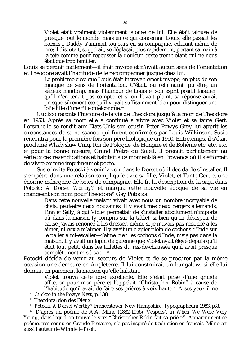Violet était vraiment violemment jalouse de lui. Elle était jalouse de presque tout le monde, mais en ce qui concernait Louis, elle passait les bornes... Daddy s'animait toujours en sa compagnie, éclatant même de rire; il discutait, suggérait, se déplaçait plus rapidement, portant sa main à la tête comme pour repousser la douleur, geste tremblotant qui ne nous était que trop familier.

Louis se perdait facilement—il était myope et n'avait aucun sens de l'orientation et Theodore avait l'habitude de le raccompagner jusque chez lui.

Le problème c'est que Louis était incroyablement myope, en plus de son manque de sens de l'orientation. C'était, ou cela aurait pu être, un sérieux handicap, mais l'humour de Louis et son esprit positif faisaient qu'il n'en tenait pas compte, et si on l'avait plaint, sa réponse aurait presque sûrement été qu'il voyait suffisamment bien pour distinguer une jolie fille d'une fille quelconque.<sup>14</sup>

*Cuckoo* raconte l'histoire de la vie de Theodora jusqu'à la mort de Theodore en 1953. Après sa mort elle a continué à vivre avec Violet et sa tante Gert. Lorsqu'elle se rendit aux Etats-Unis son cousin Peter Powys Grey lui apprit les circonstances de sa naissance, qui furent confirmées par Louis Wilkinson. Susie rencontra pour la première fois son père biologique en 1960. Entretemps, il s'était proclamé Wladyslaw Cinq, Roi de Pologne, de Hongrie et de Bohême etc. etc. etc. et pour la bonne mesure, Grand Prêtre du Soleil. Il prenait parfaitement au sérieux ces revendications et habitait à ce moment-là en Provence où il s'efforçait de vivre comme imprimeur et poète.

Susie invita Potocki à venir la voir dans le Dorset où il décida de s'installer. Il s'empêtra dans une relation compliquée avec sa fille, Violet, et Tante Gert et une énorme ménagerie de bêtes de compagnie. Elle fit la description de la saga dans *Potocki: A Dorset Worthy?* et marqua cette nouvelle époque de sa vie en changeant son nom pour Theodora<sup>15</sup> Gay Potocka.

Dans cette nouvelle maison vivait avec nous un nombre incroyable de chats, peut-être deux douzaines. Il y avait mes deux bergers allemands, Finn et Sally, à qui Violet permettait de s'installer absolument n'importe où dans la maison (y compris sur la table), si bien qu'en désespoir de cause j'avais renoncé à les dresser, même si je n'avais pas renoncé à les aimer, ni eux à m'aimer. Il y avait un clapier plein de cochons d'Inde sur le palier à mi-escalier—j'aime bien les cochons d'Inde, mais pas dans la maison. Il y avait un lapin de garenne que Violet avait élevé depuis qu'il était tout petit, dans les toilettes du rez-de-chaussée qu'il avait presque complètement mis à sac—<sup>16</sup>

Potocki décida de venir au secours de Violet et de se procurer par la même occasion une demeure en Angleterre. Il lui construirait un bungalow, si elle lui donnait en paiement la maison qu'elle habitait.

Violet trouva cette idée excellente. Elle s'était prise d'une grande affection pour mon père et l'appelait "Christopher Robin" à cause de l'habitude qu'il avait de faire ses prières à voix haute<sup>17</sup>. A ses yeux il ne

<sup>14</sup> *Cuckoo in the Powys Nest*, p.138

<sup>&</sup>lt;sup>15</sup> Theodora: don des Dieux.

<sup>16</sup> *Potocki, A Dorset Worthy?* Francestown, New Hampshire: Typographeum 1983, p.8.

<sup>17</sup> D'après un poème de A.A. Milne (1882-1956) 'Vespers', in *When We Were Very Young*, dans lequel on trouve le vers "Christopher Robin fait sa prière". Apparemment ce poème, très connu en Grande-Bretagne, n'a pas inspiré de traduction en français. Milne est aussi l'auteur de *Winnie le Pooh*.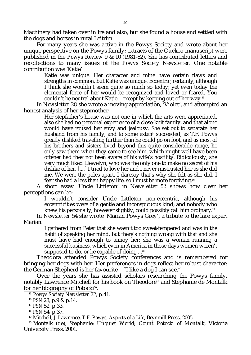Machinery had taken over in Ireland also, but she found a house and settled with the dogs and horses in rural Leitrim.

For many years she was active in the Powys Society and wrote about her unique perspective on the Powys family; extracts of the *Cuckoo* manuscript were published in the *Powys Review* 9 & 10 (1981-82). She has contributed letters and recollections to many issues of the *Powys Society Newsletter*. One notable contribution was 'Katie':

Katie was unique. Her character and mine have certain flaws and strengths in common, but Katie was unique. Eccentric, certainly, although I think she wouldn't seem quite so much so today; yet even today the elemental force of her would be recognized and loved or feared. You couldn't be neutral about Katie—except by keeping out of her way.<sup>15</sup>

In *Newsletter 28* she wrote a moving appreciation, 'Violet', and attempted an honest analysis of her stepmother*:*

Her stepfather's house was not one in which the arts were appreciated, also she had no personal experience of a close-knit family, and that alone would have roused her envy and jealousy. She set out to separate her husband from his family, and to some extent succeeded, as T.F. Powys greatly disliked travelling further than he could go on foot, and as most of his brothers and sisters lived beyond this quite considerable range, he only saw them when they came to see him, which might well have been oftener had they not been aware of his wife's hostility. Ridiculously, she very much liked Llewelyn, who was the only one to make no secret of his dislike of her. [....] I tried to love her and I never mistrusted her as she did me. We were the poles apart, I daresay that's why she felt as she did. I fear she had a less than happy life, so I must be more forgiving.<sup>16</sup>

A short essay 'Uncle Littleton' in *Newsletter 52* shows how clear her perceptions can be:

I wouldn't consider Uncle Littleton non-eccentric, although his eccentricities were of a gentle and inconspicuous kind; and nobody who knew his personally, however slightly, could possibly call him ordinary.<sup>17</sup>

In *Newsletter* 54 she wrote 'Marian Powys Grey', a tribute to the lace expert Marian:

I gathered from Peter that she wasn't too sweet-tempered and was in the habit of speaking her mind, but there's nothing wrong with that and she must have had enough to annoy her; she was a woman running a successful business, which even in America in those days women weren't supposed to do, or be capable of doing  $\ldots$ <sup>18</sup>

Theodora attended Powys Society conferences and is remembered for bringing her dogs with her. Her preferences in dogs reflect her robust character: the German Shepherd is her favourite—"I like a dog I can *see*."

Over the years she has assisted scholars researching the Powys family, notably Lawrence Mitchell for his book on Theodore<sup>19</sup> and Stephanie de Montalk for her biography of Potocki $^{\rm 20}.$ 

<sup>15</sup> *Powys Society Newsletter* 22, p.41.

<sup>16</sup> *PSN* 28, p.9 & p.14.

<sup>17</sup> *PSN* 52, p.33.

<sup>18</sup> *PSN* 54, p.37.

<sup>19</sup> Mitchell, J. Lawrence, *T.F. Powys, Aspects of a Life*, Brynmill Press, 2005.

<sup>20</sup> Montalk (de), Stephanie: *Unquiet World; Count Potocki of Montalk*, Victoria University Press, 2001.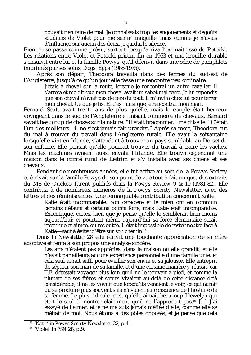pouvait rien faire de mal. Je connaissais trop les engouements et dégoûts soudains de Violet pour me sentir tranquille, mais comme je n'avais d'influence sur aucun des deux, je gardai le silence.

Rien ne se passa comme prévu, surtout lorsqu'arriva l'ex-maîtresse de Potocki. Les relations entre Violet et Potocki prirent fin en 1963 et une brouille durable s'ensuivit entre lui et la famille Powys, qu'il décrivit dans une série de pamphlets imprimés par ses soins, *Dogs' Eggs* (1968-1975).

Après son départ, Theodora travailla dans des fermes du sud-est de l'Angleterre, jusqu'à ce qu'un jour elle fasse une rencontre peu ordinaire.

J'étais à cheval sur la route, lorsque je rencontrai un autre cavalier. Il s'arrêta et me dit que mon cheval avait un sabot mal ferré. Je lui répondis que son cheval n'avait pas de fers du tout. Il m'invita chez lui pour ferrer mon cheval. Ce que je fis. Et c'est ainsi que je rencontrai mon mari.

Bernard Scutt avait trente ans de plus qu'elle, mais le couple était heureux voyageant dans le sud de l'Angleterre et faisant commerce de chevaux. Bernard savait beaucoup de choses sur la nature: "Il était braconnier," me dit-elle. "C'était l'un des meilleurs—il ne s'est jamais fait prendre." Après sa mort, Theodora eut du mal à trouver du travail dans l'Angleterre rurale. Elle avait la soixantaine lorsqu'elle vint en Irlande, s'attendant à trouver un pays semblable au Dorset de son enfance. Elle pensait qu'elle pourrait trouver du travail à traire les vaches. Mais les machines avaient aussi envahi l'Irlande. Elle trouva cependant une maison dans le comté rural de Leitrim et s'y installa avec ses chiens et ses chevaux.

Pendant de nombreuses années, elle fut active au sein de la Powys Society et écrivait sur la famille Powys de son point de vue tout à fait unique; des extraits du MS de *Cuckoo* furent publiés dans la *Powys Review* 9 & 10 (1981-82). Elle contribua à de nombreux numéros de la *Powys Society Newsletter*, avec des lettres et des réminiscences. Une remarquable contribution concernait Katie:

Katie était incomparable. Son caractère et le mien ont en commun certains défauts et certains points forts, mais Katie était incomparable. Excentrique, certes, bien que je pense qu'elle le semblerait bien moins aujourd'hui; et pourtant même aujourd'hui sa force élémentaire serait reconnue et aimée, ou redoutée. Il était impossible de rester neutre face à Katie—sauf à éviter d'être sur son chemin.<sup>18</sup>

Dans la *Newsletter 28* elle écrivit une touchante appréciation de sa mère adoptive et tenta à son propos une analyse sincère:

> Les arts n'étaient pas appréciés [dans la maison où elle grandit] et elle n'avait par ailleurs aucune expérience personnelle d'une famille unie, et cela seul aurait suffi pour éveiller son envie et sa jalousie. Elle entreprit de séparer son mari de sa famille, et d'une certaine manière y réussit, car T.F. détestait voyager plus loin qu'il ne le pouvait à pied, et comme la plupart de ses frères et sœurs vivaient au-delà de cette distance déjà considérable, il ne les voyait que lorsqu'ils venaient le voir, ce qui aurait pu se produire plus souvent s'ils n'avaient eu conscience de l'hostilité de sa femme. Le plus ridicule, c'est qu'elle aimait beaucoup Llewelyn qui était le seul à montrer clairement qu'il ne l'appréciait pas.<sup>19</sup> [...] J'ai essayé de l'aimer, et je ne me suis jamais méfiée d'elle, comme elle se méfiait de moi. Nous étions à des pôles opposés, et je pense que cela

<sup>18</sup> 'Katie' in *Powys Society Newsletter* 22, p.41.

<sup>19</sup> 'Violet' in *PSN* 28, p.9.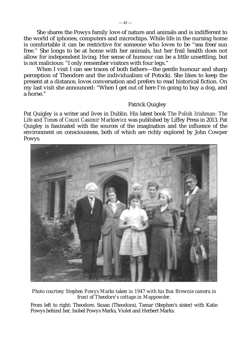She shares the Powys family love of nature and animals and is indifferent to the world of iphones, computers and microchips. While life in the nursing home is comfortable it can be restrictive for someone who loves to be "sea free/sun free." She longs to be at home with her animals, but her frail health does not allow for independent living. Her sense of humour can be a little unsettling, but is not malicious: "I only remember visitors with four legs."

When I visit I can see traces of both fathers—the gentle humour and sharp perception of Theodore and the individualism of Potocki. She likes to keep the present at a distance, loves conversation and prefers to read historical fiction. On my last visit she announced: "When I get out of here I'm going to buy a dog, and a horse."

## Patrick Quigley

Pat Quigley is a writer and lives in Dublin. His latest book *The Polish Irishman: The Life and Times of Count Casimir Markievicz* was published by Liffey Press in 2013. Pat Quigley is fascinated with the sources of the imagination and the influence of the environment on consciousness, both of which are richly explored by John Cowper Powys.



*Photo courtesy Stephen Powys Marks taken in 1947 with his Box Brownie camera in front of Theodore's cottage in Mappowder.*

From left to right: Theodore, Susan (Theodora), Tamar (Stephen's sister) with Katie Powys behind her, Isobel Powys Marks, Violet and Herbert Marks.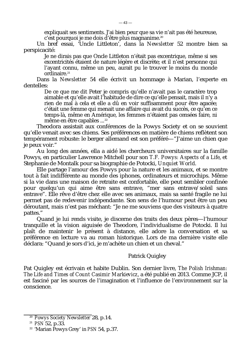expliquait ses sentiments. J'ai bien peur que sa vie n'ait pas été heureuse, c'est pourquoi je me dois d'être plus magnanime.<sup>20</sup>

Un bref essai, 'Uncle Littleton', dans la *Newsletter* 52 montre bien sa perspicacité:

Je ne dirais pas que Oncle Littleton n'était pas excentrique, même si ses excentricités étaient de nature légère et discrète; et il n'est personne qui l'ayant connu, même un peu, aurait pu le trouver le moins du monde ordinaire.<sup>21</sup>

Dans la *Newsletter* 54 elle écrivit un hommage à Marian, l'experte en dentelles:

De ce que me dit Peter je compris qu'elle n'avait pas le caractère trop aimable et qu'elle avait l'habitude de dire ce qu'elle pensait, mais il n'y a rien de mal à cela et elle a dû en voir suffisamment pour être agacée; c'était une femme qui menait une affaire qui avait du succès, ce qu'en ce temps-là, même en Amérique, les femmes n'étaient pas censées faire, ni même en être capables ...<sup>22</sup>

Theodora assistait aux conférences de la Powys Society et on se souvient qu'elle venait avec ses chiens. Ses préférences en matière de chiens reflètent son tempérament robuste: le berger allemand est son préféré—"J'aime un chien que je peux voir."

Au long des années, ella a aidé les chercheurs universitaires sur la famille Powys, en particulier Lawrence Mitchell pour son *T.F. Powys: Aspects of a Life*, et Stephanie de Montalk pour sa biographie de Potocki, *Unquiet World*.

Elle partage l'amour des Powys pour la nature et les animaux, et se montre tout à fait indifférente au monde des iphones, ordinateurs et microchips. Même si la vie dans une maison de retraite est confortable, elle peut sembler confinée pour quelqu'un qui aime être sans entrave, "mer sans entrave/soleil sans entrave". Elle rêve d'être chez elle avec ses animaux, mais sa santé fragile ne lui permet pas de redevenir indépendante. Son sens de l'humour peut être un peu déroutant, mais n'est pas méchant: "Je ne me souviens que des visiteurs à quatre pattes."

Quand je lui rends visite, je discerne des traits des deux pères—l'humour tranquille et la vision aiguisée de Theodore, l'individualisme de Potocki. Il lui plaît de maintenir le présent à distance, elle adore la conversation et sa préférence en lecture va au roman historique. Lors de ma dernière visite elle déclara: "Quand je sors d'ici, je m'achète un chien et un cheval."

## Patrick Quigley

Pat Quigley est écrivain et habite Dublin. Son dernier livre, *The Polish Irishman: The Life and Times of Count Casimir Markievicz*, a été publié en 2013. Comme JCP, il est fasciné par les sources de l'imagination et l'influence de l'environnement sur la conscience.

<sup>20</sup> *Powys Society Newsletter* 28, p.14.

<sup>21</sup> *PSN* 52, p.33.

<sup>22</sup> 'Marian Powys Grey' in *PSN* 54, p.37.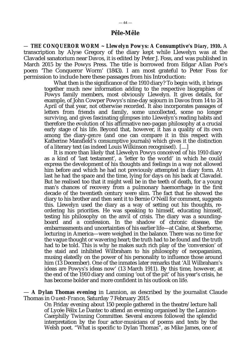#### **Pêle-Mêle**

*— THE CONQUEROR WORM ~ Llewelyn Powys: A Consumptive's Diary, 1910***.**<sup>A</sup> transcription by Alyse Gregory of the diary kept while Llewelyn was at the Clavadel sanatorium near Davos, it is edited by Peter J. Foss, and was published in March 2015 by the Powys Press. The title is borrowed from Edgar Allan Poe's poem 'The Conqueror Worm' (1843). I am most grateful to Peter Foss for permission to include here these passages from his Introduction:

 What then is the significance of the 1910 diary? To begin with, it brings together much new information adding to the respective biographies of Powys family members, most obviously Llewelyn. It gives details, for example, of John Cowper Powys's nine-day sojourn in Davos from 14 to 24 April of that year, not otherwise recorded. It also incorporates passages of letters from friends and family, some uncollected, some no longer surviving, and gives fascinating glimpses into Llewelyn's reading habits and therefore the evolution of his affirmative neo-pagan philosophy at a crucial early stage of his life. Beyond that, however, it has a quality of its own among the diary-*genre* (and one can compare it in this respect with Katherine Mansfield's consumptive journals) which gives it the distinction of a literary text (as indeed Louis Wilkinson recognised). [....]

 It is more than likely that Llewelyn Powys conceived of his 1910 diary as a kind of 'last testament', a 'letter to the world' in which he could express the development of his thoughts and feelings in a way not allowed him before and which he had not previously attempted in diary form. At last he had the space and the time, lying for days on his back at Clavadel. But he realised too that it might well be in the teeth of death, for a young man's chances of recovery from a pulmonary haemorrhage in the first decade of the twentieth century were slim. The fact that he showed the diary to his brother and then sent it to Bernie O'Neill for comment, suggests this. Llewelyn used the diary as a way of setting out his thoughts, reordering his priorities. He was speaking to himself, educating himself, testing his philosophy on the anvil of crisis. The diary was a soundingboard and a confession. In the shadow of chronic disease, the embarrassments and uncertainties of his earlier life—at Calne, at Sherborne, lecturing in America—were weighed in the balance. There was no time for the vague thought or wavering heart; the truth had to be found and the truth had to be told. This is why he makes such rich play of the 'conversion' of the staid and inhibited Wilbraham to his philosophy of neopaganism, musing elatedly on the power of his personality to influence those around him (13 December). One of the inmates later remarks that 'All Wilbraham's ideas are Powys's ideas now' (13 March 1911). By this time, however, at the end of the 1910 diary and coming 'out of the pit' of his year's crisis, he has become bolder and more confident in his outlook on life.

— **A Dylan Thomas evening** in Lannion, as described by the journalist Claude Thomas in *Ouest-France*, Saturday 7 February 2015:

> On Friday evening about 150 people gathered in the theatre/lecture hall of Lycée Félix Le Dantec to attend an evening organised by the Lannion-Caerphilly Twinning Committee. Several encores followed the splendid interpretation by the four actor-musicians of poems and texts by the Welsh poet. "What is specific to Dylan Thomas", as Mike James, one of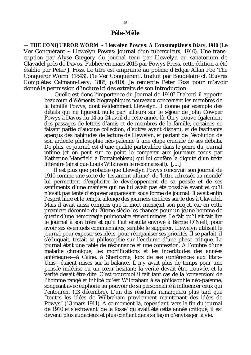*— THE CONQUEROR WORM ~ Llewelyn Powys: A Consumptive's Diary, 1910* (Le Ver Conquérant *~* Llewelyn Powys: Journal d'un tuberculeux, 1910). Une transcription par Alyse Gregory du journal tenu par Llewelyn au sanatorium de Clavadel près de Davos. Publiée en mars 2015 par Powys Press, cette édition a été établie par Peter J. Foss. Le titre est emprunté au poème d'Edgar Allan Poe 'The Conqueror Worm' (1843). ('le Ver Conquérant', traduit par Baudelaire cf. *Œuvres Complètes* Calmann-Levy, 1885, p.410). Je remercie Peter Foss pour m'avoir donné la permission d'inclure ici des extraits de son Introduction:

 Quelle est donc l'importance du Journal de 1910? D'abord il apporte beaucoup d'éléments biographiques nouveaux concernant les membres de la famille Powys, dont évidemment Llewelyn. Il donne par exemple des détails qui ne figurent nulle part ailleurs sur le séjour de John Cowper Powys à Davos du 14 au 24 avril de cette année-là. On y trouve également des passages de lettres d'amis et de membres de la famille, certaines ne faisant partie d'aucune collection, d'autres ayant disparu, et de fascinants aperçus des habitudes de lecture de Llewelyn, et partant de l'évolution de son ardente philosophie néo-païenne à une étape cruciale de ses débuts. De plus, ce journal est d'une qualité particulière dans le genre du journal intime (et on peut sur ce point le comparer aux journaux tenus par Katherine Mansfield à Fontainebleau) qui lui confère la dignité d'un texte littéraire (ainsi que Louis Wilkinson le reconnaissait). [....]

 Il est plus que probable que Llewelyn Powys concevait son journal de 1910 comme une sorte de 'testament ultime', de 'lettre adressée au monde' lui permettant d'expliciter le développement de sa pensée et de ses sentiments d'une manière qui ne lui avait pas été possible avant et qu'il n'avait pas tenté d'exposer auparavant sous forme de journal. Il avait enfin l'esprit libre et le temps, allongé des journées entières sur le dos à Clavadel. Mais il avait aussi compris que la mort menaçait son projet, car en cette première décennie du 20ème siècle les chances pour un jeune homme de guérir d'une hémorragie pulmonaire étaient minces. Le fait qu'il ait fait lire le journal à son frère et qu'il l'ait ensuite envoyé à Bernie O'Neill, pour avoir ses éventuels commentaires, semble le suggérer. Llewelyn utilisait le journal pour exposer ses idées, pour réorganiser ses priorités. Il se parlait, il s'éduquait, testait sa philosophie sur l'enclume d'une phase critique. Le journal était une table de résonnance et une confession. A l'ombre d'une maladie chronique, les mortifications et les incertitudes des années antérieures—à Calne, à Sherborne, lors de ses conférences aux Etats-Unis—étaient mises sur la balance. Il n'y avait plus de temps pour une pensée indécise ou un cœur hésitant; la vérité devait être trouvée, et la vérité devait être dite. C'est pourquoi il fait tant cas de la 'conversion' de l'homme rangé et inhibé qu'est Wilbraham à sa philosophie néo-païenne, songeant avec euphorie au pouvoir de sa personnalité à influencer ceux qui l'entourent (13 décembre). L'un des résidents remarquera plus tard que "toutes les idées de Wilbraham proviennent maintenant des idées de Powys" (13 mars 1911). A ce moment-là, cependant, vers la fin du journal de 1910 et s'extrayant 'de la fosse' qu'avait été cette année critique, il est devenu plus audacieux et plus confiant dans sa façon d'envisager la vie.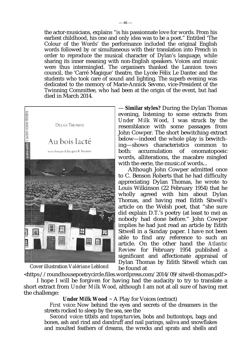the actor-musicians, explains "is his passionnate love for words. From his earliest childhood, his one and only idea was to be a poet." Entitled 'The Colour of the Words' the performance included the original English words followed by or simultaneous with their translation into French in order to reproduce the musical character of Dylan's language, while sharing its inner meaning with non-English speakers. Voices and music were thus intermingled. The organisers thanked the Lannion town council, the 'Carré Magique' theatre, the Lycée Félix Le Dantec and the students who took care of sound and lighting. The superb evening was dedicated to the memory of Marie-Annick Seveno, vice-President of the Twinning Committee, who had been at the origin of the event, but had died in March 2014.



Cover illustration *Valériane Leblond*

— **Similar styles?** During the Dylan Thomas evening, listening to some extracts from *Under Milk Wood*, I was struck by the resemblance with some passages from John Cowper. The short bewitching extract below—indeed the whole play is bewitching—shows characteristics common to both: accumulation of onomatopoeic words, alliterations, the macabre mingled with the eerie, the music.of words...

Although John Cowper admitted once to C. Benson Roberts that he had difficulty appreciating Dylan Thomas, he wrote to Louis Wilkinson (22 February 1954) that he wholly agreed with him about Dylan Thomas, and having read Edith Sitwell's article on the Welsh poet, that "she sure did explain D.T.'s poetry (at least to me) as nobody had done before." John Cowper implies he had just read an article by Edith Sitwell in a Sunday paper. I have not been able to find any reference to such an article. On the other hand the *Atlantic Review* for February 1954 published a significant and affectionate appraisal of Dylan Thomas by Edith Sitwell which can be found at

[<https://roundhousepoetrycircle.files.wordpress.com/2014/09/sitwell-thomas.pdf>](https://roundhousepoetrycircle.files.wordpress.com/2014/09/sitwell-thomas.pdf)

I hope I will be forgiven for having had the audacity to try to translate a short extract from *Under Milk Wood*, although I am not at all sure of having met the challenge:

## *Under Milk Wood ~* A Play for Voices (extract)

*First voice*: Now behind the eyes and secrets of the dreamers in the streets rocked to sleep by the sea, see the

*Second voice*: titbits and topsyturvies, bobs and buttontops, bags and bones, ash and rind and dandruff and nail parings, saliva and snowflakes and moulted feathers of dreams, the wrecks and sprats and shells and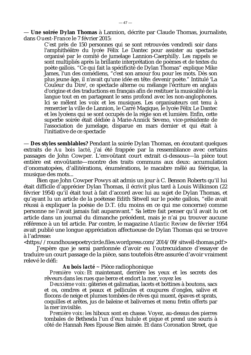— **Une soirée Dylan Thomas** à Lannion, décrite par Claude Thomas, journaliste, dans *Ouest-France* le 7 février 2015:

C'est près de 150 personnes qui se sont retrouvées vendredi soir dans l'amphithéâtre du lycée Félix Le Dantec pour assister au spectacle organisé par le comité de jumelage Lannion-Caerphilly. Les rappels se sont multipliés après la brillante interprétation de poèmes et de textes du poète gallois. "Ce qui fait la spécificité de Dylan Thomas" explique Mike James, l'un des comédiens, "c'est son amour fou pour les mots. Dès son plus jeune âge, il n'avait qu'une idée en tête: devenir poète." Intitulé 'La Couleur du Dire', ce spectacle alterne ou mélange l'écriture en anglais d'origine et des traductions en français afin de restituer la musicalité de la langue tout en en partageant le sens profond avec les non-anglophones. Ici se mêlent les voix et les musiques. Les organisateurs ont tenu à remercier la ville de Lannion, le Carré Magique, le lycée Félix Le Dantec et les lycéens qui se sont occupés de la régie son et lumière. Enfin, cette superbe soirée était dédiée à Marie-Annick Seveno, vice-présidente de l'association de jumelage, disparue en mars dernier et qui était à l'initiative de ce spectacle

— **Des styles semblables?** Pendant la soirée Dylan Thomas, en écoutant quelques extraits de *Au bois lacté*, j'ai été frappée par la ressemblance avec certains passages de John Cowper. L'envoûtant court extrait ci-dessous—la pièce tout entière est envoûtante—montre des traits communs aux deux: accumulation d'onomatopées, d'allitérations, énumérations, le macabre mêlé au féérique, la musique des mots...

Bien que John Cowper Powys ait admis un jour à C. Benson Roberts qu'il lui était difficile d'apprécier Dylan Thomas, il écrivit plus tard à Louis Wilkinson (22 février 1954) qu'il était tout à fait d'accord avec lui au sujet de Dylan Thomas, et qu'ayant lu un article de la poétesse Edith Sitwell sur le poète gallois, "elle avait réussi à expliquer la poésie de D.T. (du moins en ce qui me concerne) comme personne ne l'avait jamais fait auparavant." Sa lettre fait penser qu'il avait lu cet article dans un journal du dimanche précédent, mais je n'ai pu trouver aucune référence à un tel article. Par contre, le magazine *Atlantic Review* de février 1954 avait publié une longue appréciation affectueuse de Dylan Thomas qui se trouve à l'adresse:

[<https://roundhousepoetrycircle.files.wordpress.com/2014/09/sitwell-thomas.pdf>](https://roundhousepoetrycircle.files.wordpress.com/2014/09/sitwell-thomas.pdf)

J'espère que je serai pardonnée d'avoir eu l'outrecuidance d'essayer de traduire un court passage de la pièce, sans toutefois être assurée d'avoir vraiment relevé le défi:

#### *Au bois lacté ~* Pièce radiophonique

*Première voix*: Et maintenant, derrière les yeux et les secrets des rêveurs dans les rues que berce et endort la mer, voyez les

*Deuxième voix*: gâteries et galimatias, lacets et bottines à boutons, sacs et os, cendres et peaux et pellicules et coupures d'ongles, salive et flocons de neige et plumes tombées de rêves qui muent, épaves et sprats, coquilles et arêtes, jus de baleine et balivernes et menu fretin offerts par la mer invisible.

*Première voix*: les hiboux sont en chasse. Voyez, au-dessus des pierres tombales de Bethesda l'un d'eux hulule et pique et prend une souris à côté de Hannah Rees Epouse Bien aimée. Et dans Coronation Street, que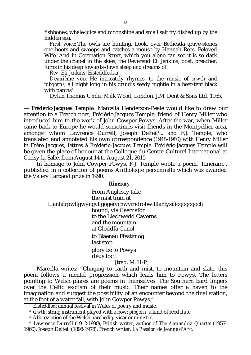fishbones, whale-juice and moonshine and small salt fry dished up by the hidden sea.

*First voice*: The owls are hunting. Look, over Bethesda grave-stones one hoots and swoops and catches a mouse by Hannah Rees, Beloved Wife. And in Coronation Street, which you alone can see it is so dark under the chapel in the skies, the Reverend Eli Jenkins, poet, preacher, turns in his deep towards-dawn sleep and dreams of

*Rev. Eli Jenkins*: Eisteddfodau<sup>1</sup>.

*Deuxième voix*: He intricately rhymes, to the music of *crwth* and *pibgorn*<sup>2</sup> , all night long in his druid's seedy nightie in a beer-tent black with parchs<sup>3</sup>.

Dylan Thomas *Under Milk Wood*, London, J.M. Dent & Sons Ltd, 1955.

— **Frédéric-Jacques Temple**: Marcella Henderson-Peale would like to draw our attention to a French poet, Frédéric-Jacques Temple, friend of Henry Miller who introduced him to the work of John Cowper Powys. After the war, when Miller came back to Europe he would sometimes visit friends in the Montpellier area, amongst whom Lawrence Durrell, Joseph Delteil<sup>4</sup>... and F.J. Temple, who translated and annotated his own correspondence (1948-1980) with Henry Miller in *Frère Jacques, lettres à Frédéric-Jacques Temple*. Frédéric-Jacques Temple will be given the place of honour at the Colloque du Centre Culturel International at Cerisy-la-Salle, from August 14 to August 21, 2015.

In homage to John Cowper Powys, F-J. Temple wrote a poem, 'Itinéraire', published in a collection of poems *Anthologie personnelle* which was awarded the Valery Larbaud prize in 1990:

#### **Itinerary**

 From Anglesey take the mist train at Llanfairpwllgwyngyllgogerychwyrndrobwllllantysiliogogogoch bound, via Caernafon to the Llechwedd Caverns and the mountain at Gloddfa Ganol to Blaenau Ffestiniog last stop glory be to Powys deus loci!

#### [trad. M. H-P]

Marcella writes: "Clinging to earth and mist, to mountain and slate, this poem follows a mental progression which leads him to Powys. The letters pointing to Welsh places are poems in themselves. The Southern bard lingers over the Celtic exotism of their music. Their names offer a haven to the imagination and suggest the possibility of an encounter beyond the final station, at the foot of a water-fall, with John Cowper Powys."

- <sup>2</sup> *crwth*: string instrument played with a bow; *pibgorn*: a kind of reed flute.
- <sup>3</sup> Abbreviation of the Welsh *parchedig,* vicar or minister.

<sup>4</sup> Lawrence Durrell (1912-1990), British writer, author of *The Alexandria Quartet.*(1957- 1960); Joseph Delteil (1898-1978), French writer. *La Passion de Jeanne d'Arc*.

<sup>&</sup>lt;sup>1</sup> *Eisteddfod*: annual festival in Wales of poetry and music.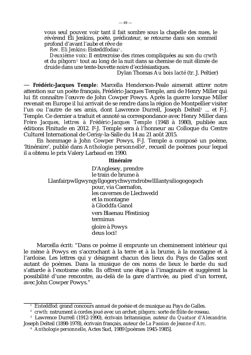vous seul pouvez voir tant il fait sombre sous la chapelle des nues, le révérend Eli Jenkins, poète, prédicateur, se retourne dans son sommeil profond d'avant l'aube et rêve de

*Rev. Eli Jenkins*: Eisteddfodau<sup>1</sup>.

*Deuxième voix*: Il entrecroise des rimes compliquées au son du *crwth* et du *pibgorn*<sup>2</sup> tout au long de la nuit dans sa chemise de nuit élimée de druide dans une tente-buvette noire d'ecclésiastiques.

Dylan Thomas *Au bois lacté* (tr. J. Peltier)

— **Frédéric-Jacques Temple**: Marcella Henderson-Peale aimerait attirer notre attention sur un poète français, Frédéric-Jacques Temple, ami de Henry Miller qui lui fit connaître l'œuvre de John Cowper Powys. Après la guerre lorsque Miller revenait en Europe il lui arrivait de se rendre dans la région de Montpellier visiter l'un ou l'autre de ses amis, dont Lawrence Durrell, Joseph Delteil<sup>3</sup> … et F-J. Temple. Ce dernier a traduit et annoté sa correspondance avec Henry Miller dans *Frère Jacques, lettres à Frédéric-Jacques Temple (*1948 à 1980), publiée aux éditions Finitude en 2012*.* F-J. Temple sera à l'honneur au Colloque du Centre Culturel International de Cerisy-la-Salle du 14 au 21 août 2015.

En hommage à John Cowper Powys, F-J. Temple a composé un poème, 'Itinéraire', publié dans Anthologie personnelle<sup>4</sup>, recueil de poèmes pour lequel il a obtenu le prix Valery Larbaud en 1990.

#### **Itinéraire**

 D'Anglesey, prendre le train de brume à Llanfairpwllgwyngyllgogerychwyrndrobwllllantysiliogogogoch pour, via Caernafon, les cavernes de Llechwedd et la montagne à Gloddfa Ganol vers Blaenau Ffestiniog terminus gloire à Powys deus loci!

Marcella écrit: "Dans ce poème il emprunte un cheminement intérieur qui le mène à Powys en s'accrochant à la terre et à la brume, à la montagne et à l'ardoise. Les lettres qui y désignent chacun des lieux du Pays de Galles sont autant de poèmes. Dans la musique de ces noms de lieux le barde du sud s'attarde à l'exotisme celte. Ils offrent une étape à l'imaginaire et suggèrent la possibilité d'une rencontre, au-delà de la gare d'arrivée, au pied d'un torrent, avec John Cowper Powys."

<sup>&</sup>lt;sup>1</sup> *Eisteddfod*: grand concours annuel de poésie et de musique au Pays de Galles.

<sup>2</sup> *crwth:* nstrument à cordes joué avec un archet; *pibgorn*: sorte de flûte de roseau.

<sup>3</sup> Lawrence Durrell (1912-1990), écrivain britannique, auteur du *Quatuor d'Alexandrie.* Joseph Delteil (1898-1978), écrivain français, auteur de *La Passion de Jeanne d'Arc*.

<sup>4</sup> *Anthologie personnelle*, Actes Sud, 1989 [poèmes 1945-1985].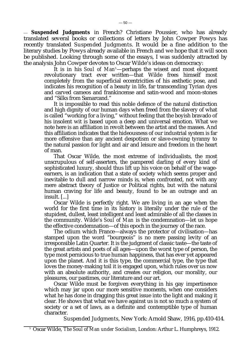— *Suspended Judgments* in French? Christiane Poussier, who has already translated several books or collections of letters by John Cowper Powys has recently translated *Suspended Judgments*. It would be a fine addition to the literary studies by Powys already available in French and we hope that it will soon be published. Looking through some of the essays, I was suddenly attracted by the analysis John Cowper devotes to Oscar Wilde's ideas on democracy:

It is in his *Soul of Man<sup>5</sup>*—perhaps the wisest and most eloquent revolutionary tract ever written—that Wilde frees himself most completely from the superficial eccentricities of his æsthetic pose, and indicates his recognition of a beauty in life, far transcending Tyrian dyes and carved cameos and frankincense and satin-wood and moon-stones and "Silks from Samarcand."

 It is impossible to read this noble defence of the natural distinction and high dignity of our human days when freed from the slavery of what is called "working for a living," without feeling that the boyish bravado of his insolent wit is based upon a deep and universal emotion. What we note here is an affiliation in revolt between the artist and the masses. And this affiliation indicates that the hideousness of our industrial system is far more offensive than any ancient despotism or slave-owning tyranny to the natural passion for light and air and leisure and freedom in the heart of man.

 That Oscar Wilde, the most extreme of individualists, the most unscrupulous of self-asserters, the pampered darling of every kind of sophisticated luxury, should thus lift up his voice on behalf of the wageearners, is an indication that a state of society which seems proper and inevitable to dull and narrow minds is, when confronted, not with any mere abstract theory of Justice or Political rights, but with the natural human craving for life and beauty, found to be an outrage and an insult. [...]

 Oscar Wilde is perfectly right. We are living in an age when the world for the first time in its history is literally under the rule of the stupidest, dullest, least intelligent and least admirable of all the classes in the community. Wilde's *Soul of Man* is the condemnation—let us hope the effective condemnation—of this epoch in the journey of the race.

 The odium which France—always the protector of civilisation—has stamped upon the word "bourgeois" is no mere passing levity of an irresponsible Latin Quarter. It is the judgment of classic taste—the taste of the great artists and poets of all ages—upon the worst type of person, the type most pernicious to true human happiness, that has ever yet appeared upon the planet. And it is this type, the commercial type, the type that loves the money-making toil it is engaged upon, which rules over us now with an absolute authority, and creates our religion, our morality, our pleasures, our pastimes, our literature and our art.

 Oscar Wilde must be forgiven everything in his gay impertinence which may jar upon our more sensitive moments, when one considers what he has done in dragging this great issue into the light and making it clear. He shows that what we have against us is not so much a system of society or a set of laws, as a definite and contemptible type of human character.

 *Suspended Judgments*, New York: Arnold Shaw, 1916, pp.410-414.

<sup>5</sup> Oscar Wilde, *The Soul of Man under Socialism*, London: Arthur L. Humphreys, 1912.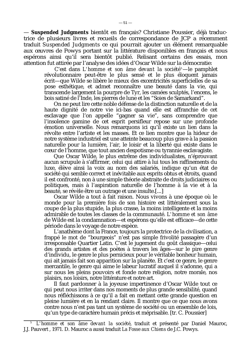— *Suspended Judgments* bientôt en français? Christiane Poussier, déjà traductrice de plusieurs livres et recueils de correspondance de JCP a récemment traduit *Suspended Judgments* ce qui pourrait ajouter un élément remarquable aux œuvres de Powys portant sur la littérature disponibles en français et nous espérons ainsi qu'il sera bientôt publié. Relisant certains des essais, mon attention fut attirée par l'analyse des idées d'Oscar Wilde sur la démocratie:

C'est dans *L'homme et son âme devant la société*<sup>5</sup>—le pamphlet révolutionnaire peut-être le plus sensé et le plus éloquent jamais écrit—que Wilde se libère le mieux des excentricités superficielles de sa pose esthétique, et admet reconnaître une beauté dans la vie, qui transcende largement la pourpre de Tyr, les camées sculptés, l'encens, le bois satiné de l'Inde, les pierres de lune et les "Soies de Samarkand".

 On ne peut lire cette noble défense de la distinction naturelle et de la haute dignité de notre vie ici-bas quand elle est affranchie de cet esclavage que l'on appelle "gagner sa vie", sans comprendre que l'insolence gamine de cet esprit persifleur repose sur une profonde émotion universelle. Nous remarquons ici qu'il existe un lien dans la révolte entre l'artiste et les masses. Et ce lien montre que la hideur de notre système industriel est une atteinte beaucoup plus grave à la passion naturelle pour la lumière, l'air, le loisir et la liberté qui existe dans le cœur de l'homme, que tout ancien despotisme ou tyrannie esclavagiste.

 Que Oscar Wilde, le plus extrême des individualistes, n'éprouvant aucun scrupule à s'affirmer, celui qui attire à lui tous les raffinements du luxe, élève ainsi la voix au nom des salariés, indique qu'un état de société qui semble correct et inévitable aux esprits obtus et étroits, quand il est confronté, non à une simple théorie abstraite de droits judiciaires ou politiques, mais à l'aspiration naturelle de l'homme à la vie et à la beauté, se révèle être un outrage et une insulte.[...]

 Oscar Wilde a tout à fait raison. Nous vivons à une époque où le monde pour la première fois de son histoire est littéralement sous la coupe de la plus stupide, la plus crasse, la moins intelligente et la moins admirable de toutes les classes de la communauté. *L'homme et son âme* de Wilde est la condamnation—et espérons qu'elle est efficace—de cette période dans le voyage de notre espèce.

 L'anathème dont la France, toujours la protectrice de la civilisation, a frappé le mot de "bourgeois" n'est pas simple frivolité passagère d'un irresponsable Quartier Latin. C'est le jugement du goût classique—celui des grands artistes et des poètes à travers les âges—sur le pire genre d'individu, le genre le plus pernicieux pour le véritable bonheur humain, qui ait jamais fait son apparition sur la planète. Et c'est ce genre, le genre mercantile, le genre qui aime le labeur lucratif auquel il s'adonne, qui a sur nous les pleins pouvoirs et fonde notre religion, notre morale, nos plaisirs, nos loisirs, notre littérature et notre art.

 Il faut pardonner à la joyeuse impertinence d'Oscar Wilde tout ce qui peut nous irriter dans nos moments de plus grande sensibilité, quand nous réfléchissons à ce qu'il a fait en mettant cette grande question en pleine lumière et en la rendant claire. Il montre que ce que nous avons contre nous n'est pas tant un système de société ou un ensemble de lois, qu'un type de caractère humain précis et méprisable. [tr. C. Poussier]

<sup>5</sup> *L'homme et son âme devant la société*, traduit et présenté par Daniel Mauroc, J.J. Pauvert , 1971. D. Mauroc a aussi traduit *La Fosse aux Chiens* de J.C. Powys.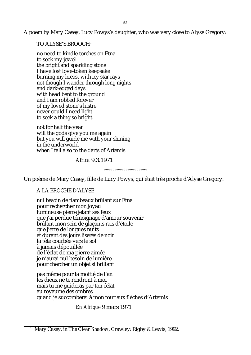A poem by Mary Casey, Lucy Powys's daughter, who was very close to Alyse Gregory:

TO ALYSE'S BROOCH<sup>1</sup>

no need to kindle torches on Etna to seek my jewel the bright and sparkling stone I have lost love-token keepsake burning my breast with icy star rays not though I wander through long nights and dark-edged days with head bent to the ground and I am robbed forever of my loved stone's lustre never could I need light to seek a thing so bright

not for half the year will the gods give you me again but you will guide me with your shining in the underworld when I fall also to the darts of Artemis

*Africa* 9.3.1971

*°°°°°°°°°°°°°°°°°°°°*

Un poème de Mary Casey, fille de Lucy Powys, qui était très proche d'Alyse Gregory:

A LA BROCHE D'ALYSE

nul besoin de flambeaux brûlant sur Etna pour rechercher mon joyau lumineuse pierre jetant ses feux que j'ai perdue témoignage d'amour souvenir brûlant mon sein de glaçants rais d'étoile que j'erre de longues nuits et durant des jours liserés de noir la tête courbée vers le sol à jamais dépouillée de l'éclat de ma pierre aimée je n'aurai nul besoin de lumière pour chercher un objet si brillant

pas même pour la moitié de l'an les dieux ne te rendront à moi mais tu me guideras par ton éclat au royaume des ombres quand je succomberai à mon tour aux flèches d'Artemis

*En Afrique* 9 mars 1971

<sup>&</sup>lt;sup>1</sup> Mary Casey, in *The Clear Shadow*, Crawley: Rigby & Lewis, 1992.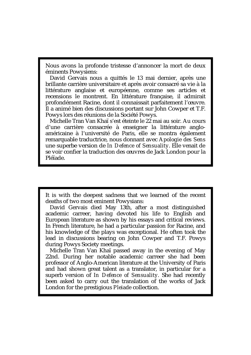Nous avons la profonde tristesse d'annoncer la mort de deux éminents Powysiens:

David Gervais nous a quittés le 13 mai dernier, après une brillante carrière universitaire et après avoir consacré sa vie à la littérature anglaise et européenne, comme ses articles et recensions le montrent. En littérature française, il admirait profondément Racine, dont il connaissait parfaitement l'œuvre. Il a animé bien des discussions portant sur John Cowper et T.F. Powys lors des réunions de la Société Powys.

Michelle Tran Van Khaï s'est éteinte le 22 mai au soir. Au cours d'une carrière consacrée à enseigner la littérature angloaméricaine à l'université de Paris, elle se montra également remarquable traductrice, nous donnant avec *Apologie des Sens* une superbe version de *In Defence of Sensuality*. Elle venait de se voir confier la traduction des œuvres de Jack London pour la Pléïade.

It is with the deepest sadness that we learned of the recent deaths of two most eminent Powysians:

David Gervais died May 13th, after a most distinguished academic carreer, having devoted his life to English and European literature as shown by his essays and critical reviews. In French literature, he had a particular passion for Racine, and his knowledge of the plays was exceptional. He often took the lead in discussions bearing on John Cowper and T.F. Powys during Powys Society meetings.

Michelle Tran Van Khaï passed away in the evening of May 22nd. During her notable academic carreer she had been professor of Anglo-American literature at the University of Paris and had shown great talent as a translator, in particular for a superb version of *In Defence of Sensuality.* She had recently been asked to carry out the translation of the works of Jack London for the prestigious *Pleiade* collection.